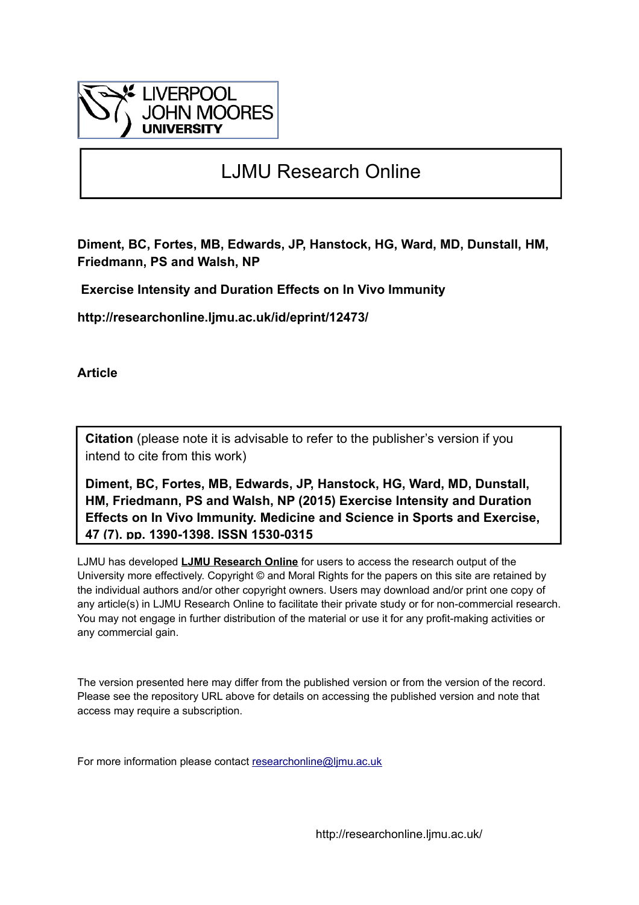

## LJMU Research Online

**Diment, BC, Fortes, MB, Edwards, JP, Hanstock, HG, Ward, MD, Dunstall, HM, Friedmann, PS and Walsh, NP**

 **Exercise Intensity and Duration Effects on In Vivo Immunity**

**http://researchonline.ljmu.ac.uk/id/eprint/12473/**

**Article**

**Citation** (please note it is advisable to refer to the publisher's version if you intend to cite from this work)

**Diment, BC, Fortes, MB, Edwards, JP, Hanstock, HG, Ward, MD, Dunstall, HM, Friedmann, PS and Walsh, NP (2015) Exercise Intensity and Duration Effects on In Vivo Immunity. Medicine and Science in Sports and Exercise, 47 (7). pp. 1390-1398. ISSN 1530-0315** 

LJMU has developed **[LJMU Research Online](http://researchonline.ljmu.ac.uk/)** for users to access the research output of the University more effectively. Copyright © and Moral Rights for the papers on this site are retained by the individual authors and/or other copyright owners. Users may download and/or print one copy of any article(s) in LJMU Research Online to facilitate their private study or for non-commercial research. You may not engage in further distribution of the material or use it for any profit-making activities or any commercial gain.

The version presented here may differ from the published version or from the version of the record. Please see the repository URL above for details on accessing the published version and note that access may require a subscription.

For more information please contact [researchonline@ljmu.ac.uk](mailto:researchonline@ljmu.ac.uk)

http://researchonline.ljmu.ac.uk/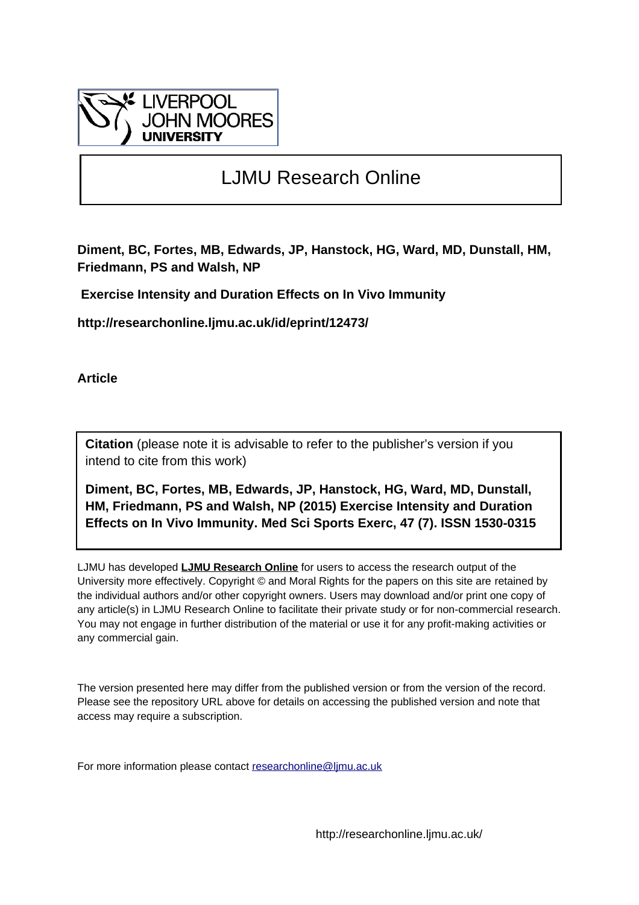

# LJMU Research Online

**Diment, BC, Fortes, MB, Edwards, JP, Hanstock, HG, Ward, MD, Dunstall, HM, Friedmann, PS and Walsh, NP**

 **Exercise Intensity and Duration Effects on In Vivo Immunity**

**http://researchonline.ljmu.ac.uk/id/eprint/12473/**

**Article**

**Citation** (please note it is advisable to refer to the publisher's version if you intend to cite from this work)

**Diment, BC, Fortes, MB, Edwards, JP, Hanstock, HG, Ward, MD, Dunstall, HM, Friedmann, PS and Walsh, NP (2015) Exercise Intensity and Duration Effects on In Vivo Immunity. Med Sci Sports Exerc, 47 (7). ISSN 1530-0315** 

LJMU has developed **[LJMU Research Online](http://researchonline.ljmu.ac.uk/)** for users to access the research output of the University more effectively. Copyright © and Moral Rights for the papers on this site are retained by the individual authors and/or other copyright owners. Users may download and/or print one copy of any article(s) in LJMU Research Online to facilitate their private study or for non-commercial research. You may not engage in further distribution of the material or use it for any profit-making activities or any commercial gain.

The version presented here may differ from the published version or from the version of the record. Please see the repository URL above for details on accessing the published version and note that access may require a subscription.

For more information please contact [researchonline@ljmu.ac.uk](mailto:researchonline@ljmu.ac.uk)

http://researchonline.ljmu.ac.uk/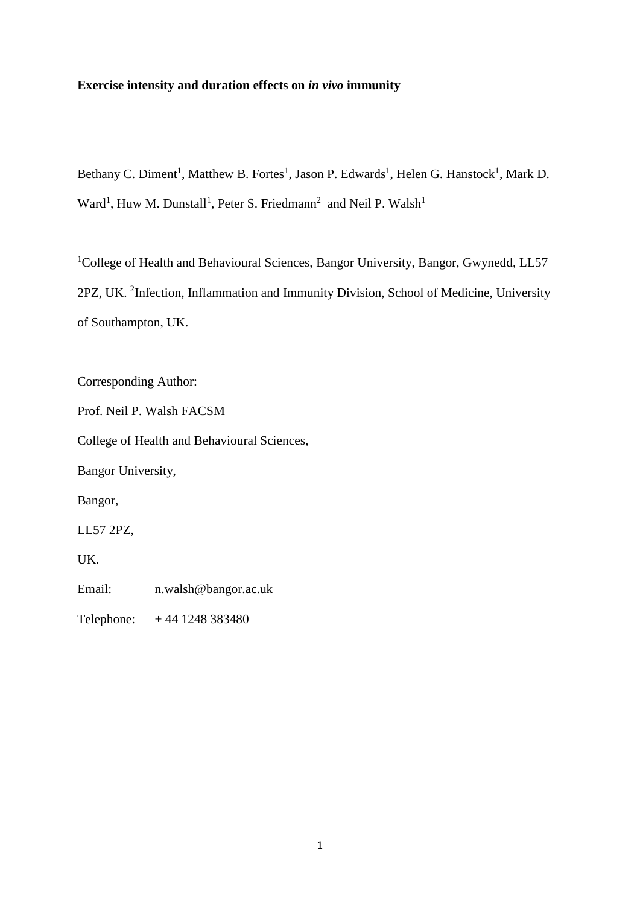## **Exercise intensity and duration effects on** *in vivo* **immunity**

Bethany C. Diment<sup>1</sup>, Matthew B. Fortes<sup>1</sup>, Jason P. Edwards<sup>1</sup>, Helen G. Hanstock<sup>1</sup>, Mark D. Ward<sup>1</sup>, Huw M. Dunstall<sup>1</sup>, Peter S. Friedmann<sup>2</sup> and Neil P. Walsh<sup>1</sup>

<sup>1</sup>College of Health and Behavioural Sciences, Bangor University, Bangor, Gwynedd, LL57 2PZ, UK. <sup>2</sup> Infection, Inflammation and Immunity Division, School of Medicine, University of Southampton, UK.

Corresponding Author:

Prof. Neil P. Walsh FACSM

College of Health and Behavioural Sciences,

Bangor University,

Bangor,

LL57 2PZ,

UK.

Email: n.walsh@bangor.ac.uk

Telephone:  $+441248383480$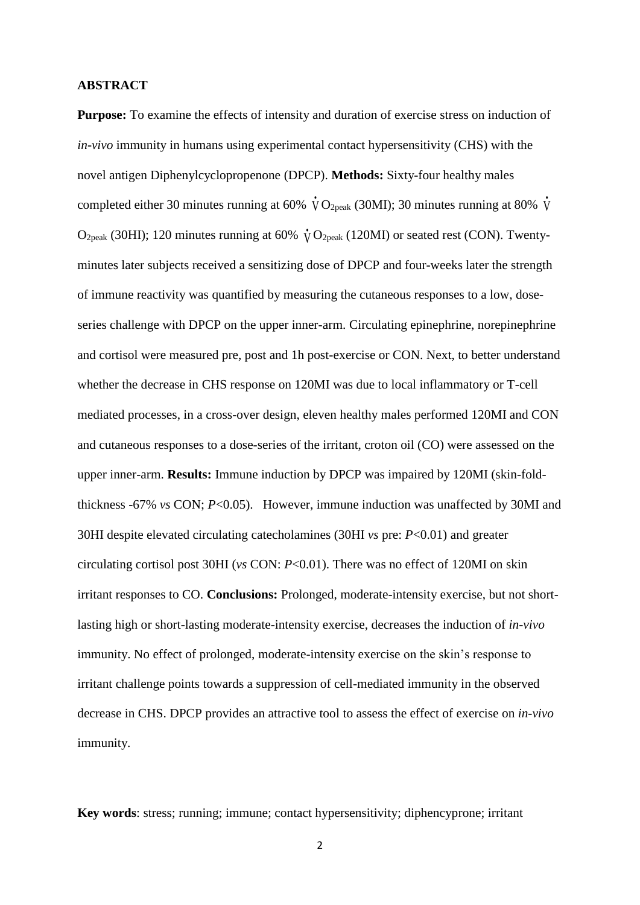### **ABSTRACT**

V . V . V  $O_{\text{2peak}}$  (30HI); 120 minutes running at 60%  $\dot{V}O_{\text{2peak}}$  (120MI) or seated rest (CON). Twenty-**Purpose:** To examine the effects of intensity and duration of exercise stress on induction of *in-vivo* immunity in humans using experimental contact hypersensitivity (CHS) with the novel antigen Diphenylcyclopropenone (DPCP). **Methods:** Sixty-four healthy males completed either 30 minutes running at 60%  $\dot{V}O_{2\text{peak}}$  (30MI); 30 minutes running at 80% minutes later subjects received a sensitizing dose of DPCP and four-weeks later the strength of immune reactivity was quantified by measuring the cutaneous responses to a low, doseseries challenge with DPCP on the upper inner-arm. Circulating epinephrine, norepinephrine and cortisol were measured pre, post and 1h post-exercise or CON. Next, to better understand whether the decrease in CHS response on 120MI was due to local inflammatory or T-cell mediated processes, in a cross-over design, eleven healthy males performed 120MI and CON and cutaneous responses to a dose-series of the irritant, croton oil (CO) were assessed on the upper inner-arm. **Results:** Immune induction by DPCP was impaired by 120MI (skin-foldthickness -67% *vs* CON; *P*<0.05). However, immune induction was unaffected by 30MI and 30HI despite elevated circulating catecholamines (30HI *vs* pre: *P*<0.01) and greater circulating cortisol post 30HI (*vs* CON: *P*<0.01). There was no effect of 120MI on skin irritant responses to CO. **Conclusions:** Prolonged, moderate-intensity exercise, but not shortlasting high or short-lasting moderate-intensity exercise, decreases the induction of *in-vivo* immunity. No effect of prolonged, moderate-intensity exercise on the skin's response to irritant challenge points towards a suppression of cell-mediated immunity in the observed decrease in CHS. DPCP provides an attractive tool to assess the effect of exercise on *in-vivo* immunity.

**Key words**: stress; running; immune; contact hypersensitivity; diphencyprone; irritant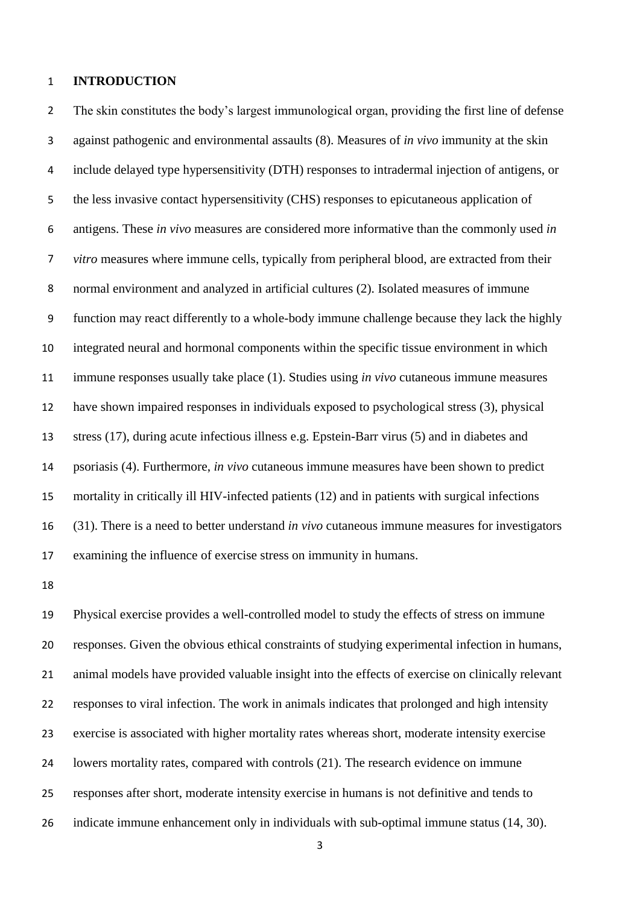#### 1 **INTRODUCTION**

2 3 4 5 6 7 8 9 10 11 12 13 14 15 16 17 The skin constitutes the body's largest immunological organ, providing the first line of defense against pathogenic and environmental assaults (8). Measures of *in vivo* immunity at the skin include delayed type hypersensitivity (DTH) responses to intradermal injection of antigens, or the less invasive contact hypersensitivity (CHS) responses to epicutaneous application of antigens. These *in vivo* measures are considered more informative than the commonly used *in vitro* measures where immune cells, typically from peripheral blood, are extracted from their normal environment and analyzed in artificial cultures (2). Isolated measures of immune function may react differently to a whole-body immune challenge because they lack the highly integrated neural and hormonal components within the specific tissue environment in which immune responses usually take place (1). Studies using *in vivo* cutaneous immune measures have shown impaired responses in individuals exposed to psychological stress (3), physical stress (17), during acute infectious illness e.g. Epstein-Barr virus (5) and in diabetes and psoriasis (4). Furthermore, *in vivo* cutaneous immune measures have been shown to predict mortality in critically ill HIV-infected patients (12) and in patients with surgical infections (31). There is a need to better understand *in vivo* cutaneous immune measures for investigators examining the influence of exercise stress on immunity in humans.

18

19 20 21 22 23 24 25 Physical exercise provides a well-controlled model to study the effects of stress on immune responses. Given the obvious ethical constraints of studying experimental infection in humans, animal models have provided valuable insight into the effects of exercise on clinically relevant responses to viral infection. The work in animals indicates that prolonged and high intensity exercise is associated with higher mortality rates whereas short, moderate intensity exercise lowers mortality rates, compared with controls (21). The research evidence on immune responses after short, moderate intensity exercise in humans is not definitive and tends to 26 indicate immune enhancement only in individuals with sub-optimal immune status (14, 30).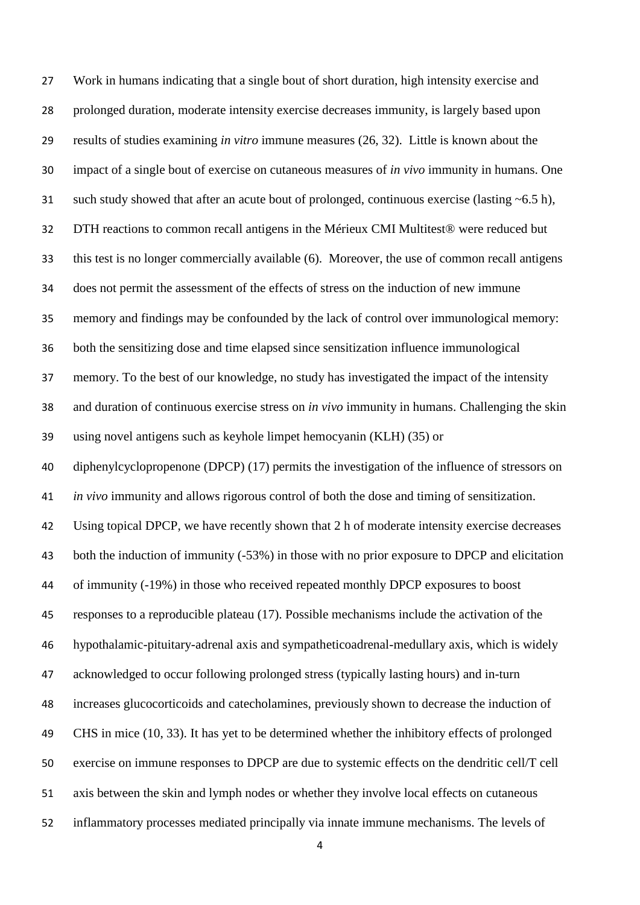27 28 29 30 31 32 33 34 35 36 37 38 39 40 41 42 43 44 45 46 47 48 49 50 51 Work in humans indicating that a single bout of short duration, high intensity exercise and prolonged duration, moderate intensity exercise decreases immunity, is largely based upon results of studies examining *in vitro* immune measures (26, 32). Little is known about the impact of a single bout of exercise on cutaneous measures of *in vivo* immunity in humans. One such study showed that after an acute bout of prolonged, continuous exercise (lasting  $\sim 6.5$  h), DTH reactions to common recall antigens in the Mérieux CMI Multitest<sup>®</sup> were reduced but this test is no longer commercially available (6). Moreover, the use of common recall antigens does not permit the assessment of the effects of stress on the induction of new immune memory and findings may be confounded by the lack of control over immunological memory: both the sensitizing dose and time elapsed since sensitization influence immunological memory. To the best of our knowledge, no study has investigated the impact of the intensity and duration of continuous exercise stress on *in vivo* immunity in humans. Challenging the skin using novel antigens such as keyhole limpet hemocyanin (KLH) (35) or diphenylcyclopropenone (DPCP) (17) permits the investigation of the influence of stressors on *in vivo* immunity and allows rigorous control of both the dose and timing of sensitization. Using topical DPCP, we have recently shown that 2 h of moderate intensity exercise decreases both the induction of immunity (-53%) in those with no prior exposure to DPCP and elicitation of immunity (-19%) in those who received repeated monthly DPCP exposures to boost responses to a reproducible plateau (17). Possible mechanisms include the activation of the hypothalamic-pituitary-adrenal axis and sympatheticoadrenal-medullary axis, which is widely acknowledged to occur following prolonged stress (typically lasting hours) and in-turn increases glucocorticoids and catecholamines, previously shown to decrease the induction of CHS in mice (10, 33). It has yet to be determined whether the inhibitory effects of prolonged exercise on immune responses to DPCP are due to systemic effects on the dendritic cell/T cell axis between the skin and lymph nodes or whether they involve local effects on cutaneous 52 inflammatory processes mediated principally via innate immune mechanisms. The levels of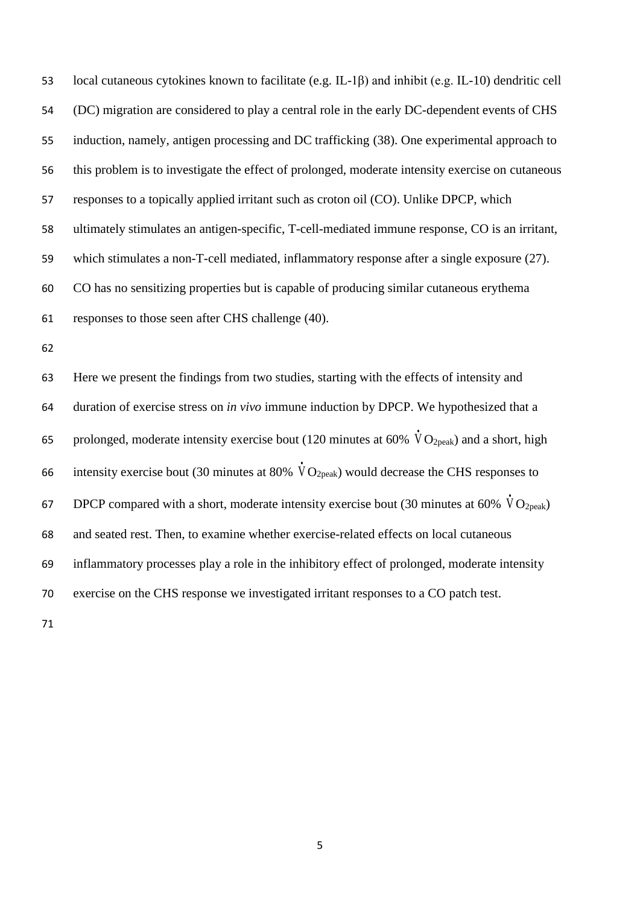53 local cutaneous cytokines known to facilitate (e.g. IL-1β) and inhibit (e.g. IL-10) dendritic cell 54 55 56 57 58 59 60 61 62 (DC) migration are considered to play a central role in the early DC-dependent events of CHS induction, namely, antigen processing and DC trafficking (38). One experimental approach to this problem is to investigate the effect of prolonged, moderate intensity exercise on cutaneous responses to a topically applied irritant such as croton oil (CO). Unlike DPCP, which ultimately stimulates an antigen-specific, T-cell-mediated immune response, CO is an irritant, which stimulates a non-T-cell mediated, inflammatory response after a single exposure (27). CO has no sensitizing properties but is capable of producing similar cutaneous erythema responses to those seen after CHS challenge (40).

63 Here we present the findings from two studies, starting with the effects of intensity and 64 duration of exercise stress on *in vivo* immune induction by DPCP. We hypothesized that a prolonged, moderate intensity exercise bout (120 minutes at 60% V . 65 prolonged, moderate intensity exercise bout (120 minutes at 60%  $\sqrt{O_{2\text{peak}}}$ ) and a short, high intensity exercise bout (30 minutes at 80% V . 66 intensity exercise bout (30 minutes at 80%  $\sqrt{O_{2\text{peak}}}$ ) would decrease the CHS responses to DPCP compared with a short, moderate intensity exercise bout (30 minutes at 60% V . 67 DPCP compared with a short, moderate intensity exercise bout (30 minutes at 60%  $\sqrt{V}O_{2\text{peak}}$ ) 68 and seated rest. Then, to examine whether exercise-related effects on local cutaneous 69 inflammatory processes play a role in the inhibitory effect of prolonged, moderate intensity 70 exercise on the CHS response we investigated irritant responses to a CO patch test.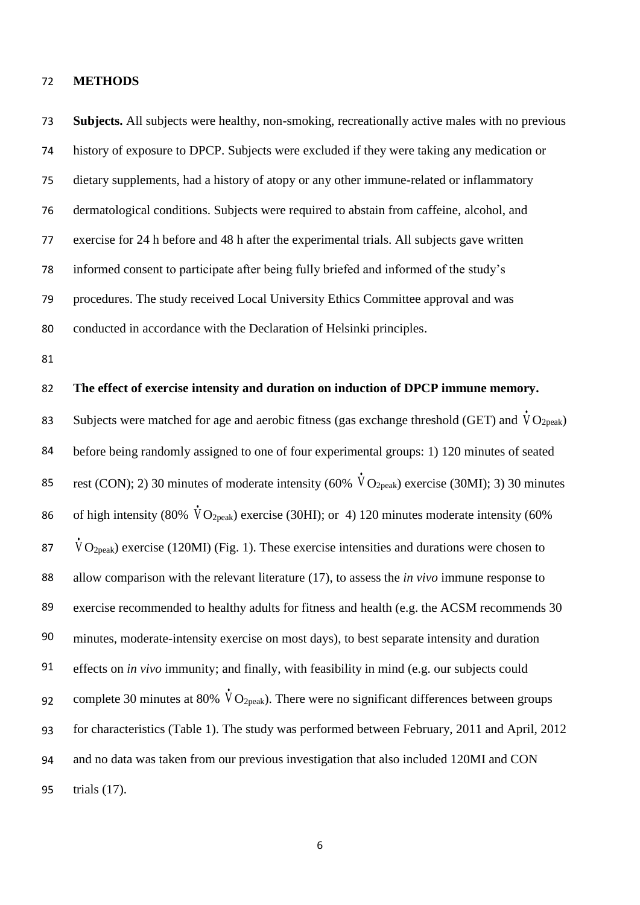#### 72 **METHODS**

73 74 75 76 77 78 79 80 **Subjects.** All subjects were healthy, non-smoking, recreationally active males with no previous history of exposure to DPCP. Subjects were excluded if they were taking any medication or dietary supplements, had a history of atopy or any other immune-related or inflammatory dermatological conditions. Subjects were required to abstain from caffeine, alcohol, and exercise for 24 h before and 48 h after the experimental trials. All subjects gave written informed consent to participate after being fully briefed and informed of the study's procedures. The study received Local University Ethics Committee approval and was conducted in accordance with the Declaration of Helsinki principles.

81

82 V . 83 84 V . 85 V . 86 V . 87 88 89 90 91 V . 92 93 94 **The effect of exercise intensity and duration on induction of DPCP immune memory.** Subjects were matched for age and aerobic fitness (gas exchange threshold (GET) and  $VO<sub>2peak</sub>$ ) before being randomly assigned to one of four experimental groups: 1) 120 minutes of seated rest (CON); 2) 30 minutes of moderate intensity (60%  $\sqrt{O_{2\text{peak}}}$ ) exercise (30MI); 3) 30 minutes of high intensity (80%  $VO<sub>2peak</sub>$ ) exercise (30HI); or 4) 120 minutes moderate intensity (60%  $O_{2peak}$ ) exercise (120MI) (Fig. 1). These exercise intensities and durations were chosen to allow comparison with the relevant literature (17), to assess the *in vivo* immune response to exercise recommended to healthy adults for fitness and health (e.g. the ACSM recommends 30 minutes, moderate-intensity exercise on most days), to best separate intensity and duration effects on *in vivo* immunity; and finally, with feasibility in mind (e.g. our subjects could complete 30 minutes at 80%  $VO<sub>2peak</sub>$ ). There were no significant differences between groups for characteristics (Table 1). The study was performed between February, 2011 and April, 2012 and no data was taken from our previous investigation that also included 120MI and CON 95 trials (17).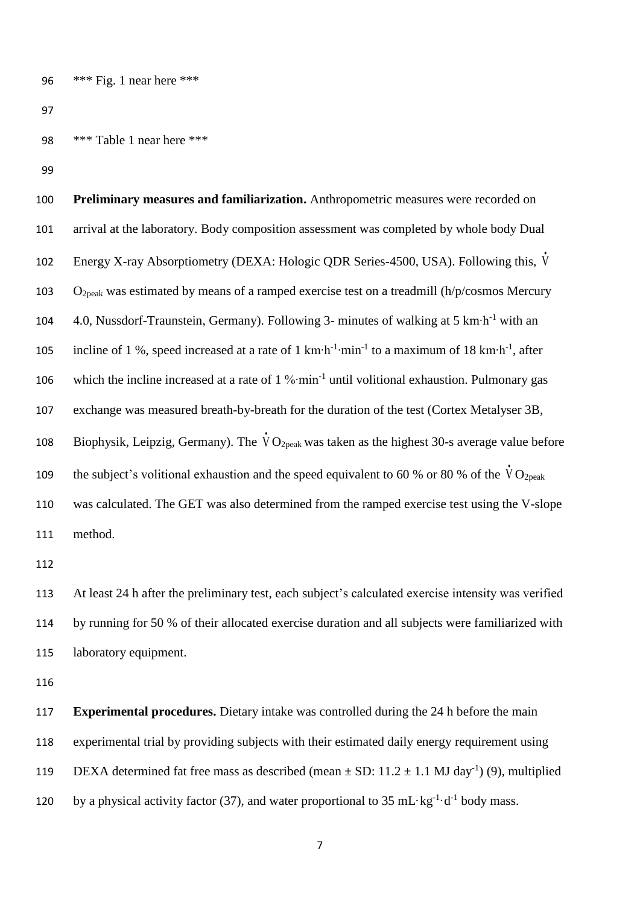96 \*\*\* Fig. 1 near here \*\*\*

97

98 \*\*\* Table 1 near here \*\*\*

99

100 **Preliminary measures and familiarization.** Anthropometric measures were recorded on 101 arrival at the laboratory. Body composition assessment was completed by whole body Dual Energy X-ray Absorptiometry (DEXA: Hologic QDR Series-4500, USA). Following this, V . 102 103 O<sub>2peak</sub> was estimated by means of a ramped exercise test on a treadmill  $(h/p/cosmos$  Mercury 104 4.0, Nussdorf-Traunstein, Germany). Following 3- minutes of walking at 5 km⋅h<sup>-1</sup> with an 105 incline of 1 %, speed increased at a rate of 1 km⋅h<sup>-1</sup>⋅min<sup>-1</sup> to a maximum of 18 km⋅h<sup>-1</sup>, after 106 which the incline increased at a rate of 1 %⋅min<sup>-1</sup> until volitional exhaustion. Pulmonary gas 107 exchange was measured breath-by-breath for the duration of the test (Cortex Metalyser 3B, Biophysik, Leipzig, Germany). The V . 108 Biophysik, Leipzig, Germany). The  $VO_{2peak}$  was taken as the highest 30-s average value before the subject's volitional exhaustion and the speed equivalent to 60 % or 80 % of the V . 109 the subject's volitional exhaustion and the speed equivalent to 60 % or 80 % of the  $VO_{2peak}$ 110 was calculated. The GET was also determined from the ramped exercise test using the V-slope 111 method. 112 113 At least 24 h after the preliminary test, each subject's calculated exercise intensity was verified 114 by running for 50 % of their allocated exercise duration and all subjects were familiarized with

115 laboratory equipment.

116

117 **Experimental procedures.** Dietary intake was controlled during the 24 h before the main 118 experimental trial by providing subjects with their estimated daily energy requirement using 119 DEXA determined fat free mass as described (mean  $\pm$  SD: 11.2  $\pm$  1.1 MJ day<sup>-1</sup>) (9), multiplied 120 by a physical activity factor (37), and water proportional to 35 mL·kg<sup>-1</sup>·d<sup>-1</sup> body mass.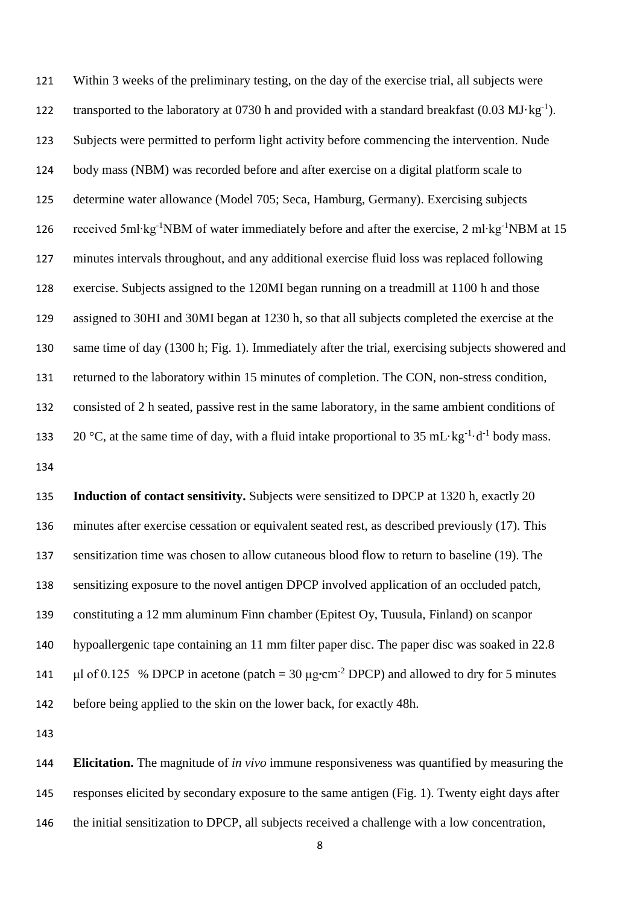121 122 123 124 125 126 127 128 129 130 131 132 133 134 Within 3 weeks of the preliminary testing, on the day of the exercise trial, all subjects were transported to the laboratory at 0730 h and provided with a standard breakfast  $(0.03 \text{ MJ} \cdot \text{kg}^{-1})$ . Subjects were permitted to perform light activity before commencing the intervention. Nude body mass (NBM) was recorded before and after exercise on a digital platform scale to determine water allowance (Model 705; Seca, Hamburg, Germany). Exercising subjects received 5ml∙kg-1NBM of water immediately before and after the exercise, 2 ml∙kg-1NBM at 15 minutes intervals throughout, and any additional exercise fluid loss was replaced following exercise. Subjects assigned to the 120MI began running on a treadmill at 1100 h and those assigned to 30HI and 30MI began at 1230 h, so that all subjects completed the exercise at the same time of day (1300 h; Fig. 1). Immediately after the trial, exercising subjects showered and returned to the laboratory within 15 minutes of completion. The CON, non-stress condition, consisted of 2 h seated, passive rest in the same laboratory, in the same ambient conditions of 20 °C, at the same time of day, with a fluid intake proportional to 35 mL·kg<sup>-1</sup>·d<sup>-1</sup> body mass.

135 136 137 138 139 140 141 142 **Induction of contact sensitivity.** Subjects were sensitized to DPCP at 1320 h, exactly 20 minutes after exercise cessation or equivalent seated rest, as described previously (17). This sensitization time was chosen to allow cutaneous blood flow to return to baseline (19). The sensitizing exposure to the novel antigen DPCP involved application of an occluded patch, constituting a 12 mm aluminum Finn chamber (Epitest Oy, Tuusula, Finland) on scanpor hypoallergenic tape containing an 11 mm filter paper disc. The paper disc was soaked in 22.8 μl of 0.125 % DPCP in acetone (patch = 30 μg**∙**cm-2 DPCP) and allowed to dry for 5 minutes before being applied to the skin on the lower back, for exactly 48h.

143

144 145 **Elicitation.** The magnitude of *in vivo* immune responsiveness was quantified by measuring the responses elicited by secondary exposure to the same antigen (Fig. 1). Twenty eight days after 146 the initial sensitization to DPCP, all subjects received a challenge with a low concentration,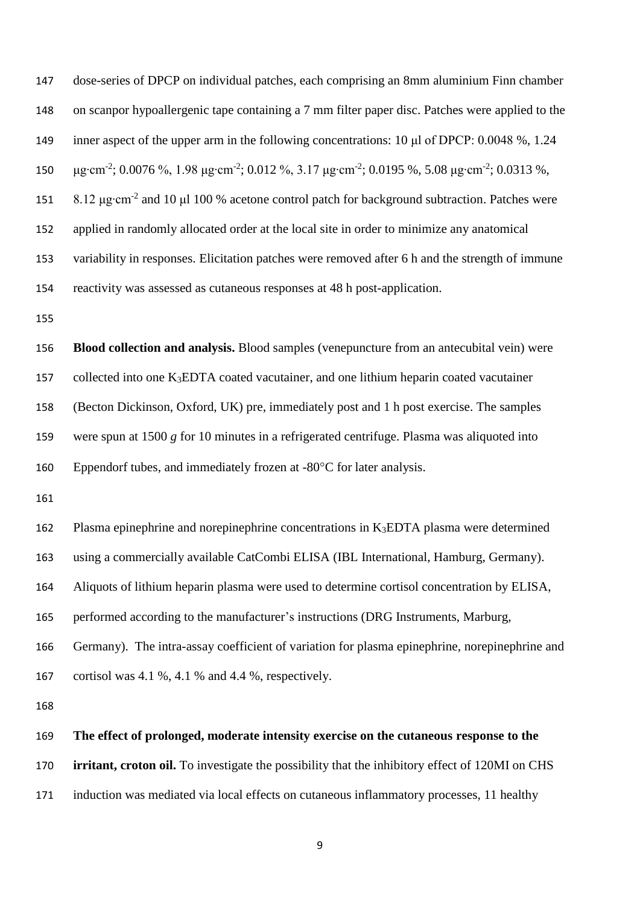| 147 | dose-series of DPCP on individual patches, each comprising an 8mm aluminium Finn chamber                                                                          |
|-----|-------------------------------------------------------------------------------------------------------------------------------------------------------------------|
| 148 | on scanpor hypoallergenic tape containing a 7 mm filter paper disc. Patches were applied to the                                                                   |
| 149 | inner aspect of the upper arm in the following concentrations: 10 µl of DPCP: 0.0048 %, 1.24                                                                      |
| 150 | $\mu$ g·cm <sup>-2</sup> ; 0.0076 %, 1.98 $\mu$ g·cm <sup>-2</sup> ; 0.012 %, 3.17 $\mu$ g·cm <sup>-2</sup> ; 0.0195 %, 5.08 $\mu$ g·cm <sup>-2</sup> ; 0.0313 %, |
| 151 | 8.12 µg·cm <sup>-2</sup> and 10 µl 100 % acetone control patch for background subtraction. Patches were                                                           |
| 152 | applied in randomly allocated order at the local site in order to minimize any anatomical                                                                         |
| 153 | variability in responses. Elicitation patches were removed after 6 h and the strength of immune                                                                   |
| 154 | reactivity was assessed as cutaneous responses at 48 h post-application.                                                                                          |
| 155 |                                                                                                                                                                   |
| 156 | Blood collection and analysis. Blood samples (venepuncture from an antecubital vein) were                                                                         |
| 157 | collected into one K <sub>3</sub> EDTA coated vacutainer, and one lithium heparin coated vacutainer                                                               |
| 158 | (Becton Dickinson, Oxford, UK) pre, immediately post and 1 h post exercise. The samples                                                                           |
| 159 | were spun at $1500 g$ for 10 minutes in a refrigerated centrifuge. Plasma was aliquoted into                                                                      |
| 160 | Eppendorf tubes, and immediately frozen at -80°C for later analysis.                                                                                              |
| 161 |                                                                                                                                                                   |
| 162 | Plasma epinephrine and norepinephrine concentrations in K3EDTA plasma were determined                                                                             |
| 163 | using a commercially available CatCombi ELISA (IBL International, Hamburg, Germany).                                                                              |
| 164 | Aliquots of lithium heparin plasma were used to determine cortisol concentration by ELISA,                                                                        |
| 165 | performed according to the manufacturer's instructions (DRG Instruments, Marburg,                                                                                 |
| 166 | Germany). The intra-assay coefficient of variation for plasma epinephrine, norepinephrine and                                                                     |
| 167 | cortisol was $4.1\%$ , $4.1\%$ and $4.4\%$ , respectively.                                                                                                        |
| 168 |                                                                                                                                                                   |
| 169 | The effect of prolonged, moderate intensity exercise on the cutaneous response to the                                                                             |
| 170 | <b>irritant, croton oil.</b> To investigate the possibility that the inhibitory effect of 120MI on CHS                                                            |
| 171 | induction was mediated via local effects on cutaneous inflammatory processes, 11 healthy                                                                          |
|     |                                                                                                                                                                   |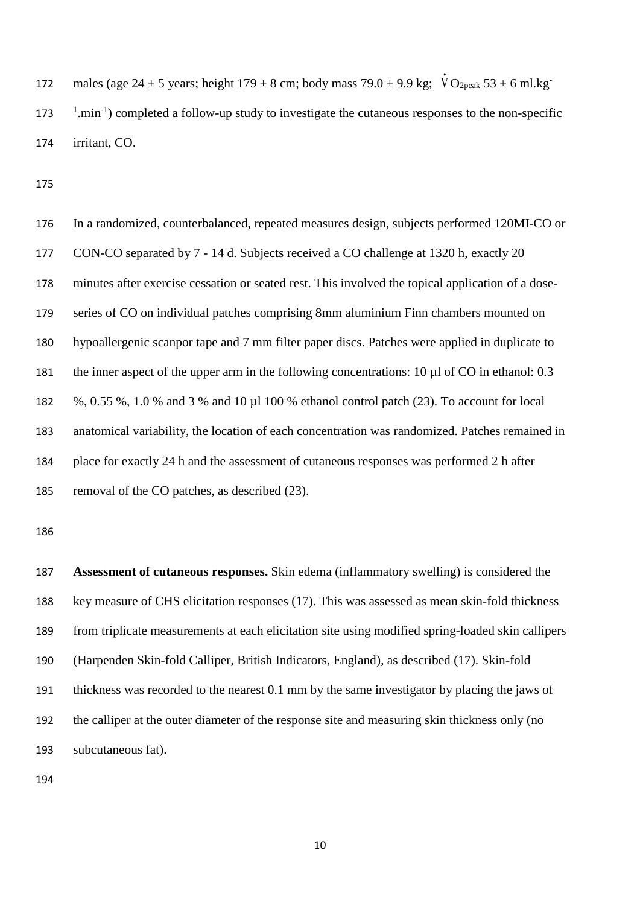males (age  $24 \pm 5$  years; height  $179 \pm 8$  cm; body mass  $79.0 \pm 9.9$  kg; V .  $O_{2peak}$  53  $\pm$  6 ml.kg<sup>-</sup>  $1$ , min<sup>-1</sup>) completed a follow-up study to investigate the cutaneous responses to the non-specific irritant, CO.

| 176 | In a randomized, counterbalanced, repeated measures design, subjects performed 120MI-CO or        |
|-----|---------------------------------------------------------------------------------------------------|
| 177 | CON-CO separated by 7 - 14 d. Subjects received a CO challenge at 1320 h, exactly 20              |
| 178 | minutes after exercise cessation or seated rest. This involved the topical application of a dose- |
| 179 | series of CO on individual patches comprising 8mm aluminium Finn chambers mounted on              |
| 180 | hypoallergenic scanpor tape and 7 mm filter paper discs. Patches were applied in duplicate to     |
| 181 | the inner aspect of the upper arm in the following concentrations: $10 \mu$ of CO in ethanol: 0.3 |
| 182 | %, 0.55 %, 1.0 % and 3 % and 10 $\mu$ 1 100 % ethanol control patch (23). To account for local    |
| 183 | anatomical variability, the location of each concentration was randomized. Patches remained in    |
| 184 | place for exactly 24 h and the assessment of cutaneous responses was performed 2 h after          |
| 185 | removal of the CO patches, as described (23).                                                     |

 **Assessment of cutaneous responses.** Skin edema (inflammatory swelling) is considered the key measure of CHS elicitation responses (17). This was assessed as mean skin-fold thickness from triplicate measurements at each elicitation site using modified spring-loaded skin callipers (Harpenden Skin-fold Calliper, British Indicators, England), as described (17). Skin-fold thickness was recorded to the nearest 0.1 mm by the same investigator by placing the jaws of the calliper at the outer diameter of the response site and measuring skin thickness only (no subcutaneous fat).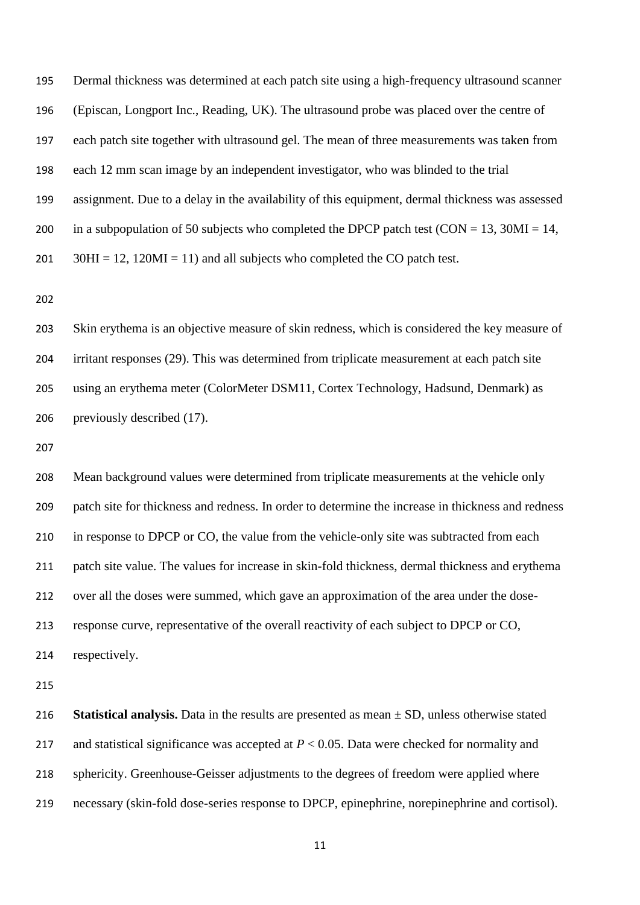195 196 197 198 199 200 201 Dermal thickness was determined at each patch site using a high-frequency ultrasound scanner (Episcan, Longport Inc., Reading, UK). The ultrasound probe was placed over the centre of each patch site together with ultrasound gel. The mean of three measurements was taken from each 12 mm scan image by an independent investigator, who was blinded to the trial assignment. Due to a delay in the availability of this equipment, dermal thickness was assessed in a subpopulation of 50 subjects who completed the DPCP patch test (CON = 13, 30MI = 14,  $30\text{HI} = 12$ ,  $120\text{MI} = 11$ ) and all subjects who completed the CO patch test.

202

203 204 205 206 Skin erythema is an objective measure of skin redness, which is considered the key measure of irritant responses (29). This was determined from triplicate measurement at each patch site using an erythema meter (ColorMeter DSM11, Cortex Technology, Hadsund, Denmark) as previously described (17).

207

208 209 210 211 212 213 214 Mean background values were determined from triplicate measurements at the vehicle only patch site for thickness and redness. In order to determine the increase in thickness and redness in response to DPCP or CO, the value from the vehicle-only site was subtracted from each patch site value. The values for increase in skin-fold thickness, dermal thickness and erythema over all the doses were summed, which gave an approximation of the area under the doseresponse curve, representative of the overall reactivity of each subject to DPCP or CO, respectively.

215

216 217 218 **Statistical analysis.** Data in the results are presented as mean  $\pm$  SD, unless otherwise stated and statistical significance was accepted at  $P < 0.05$ . Data were checked for normality and sphericity. Greenhouse-Geisser adjustments to the degrees of freedom were applied where 219 necessary (skin-fold dose-series response to DPCP, epinephrine, norepinephrine and cortisol).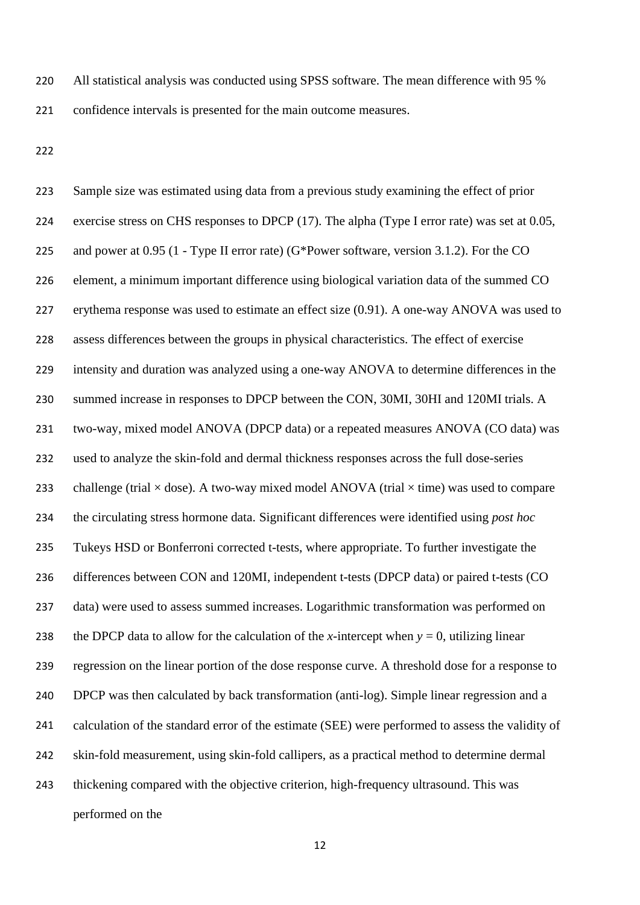220 All statistical analysis was conducted using SPSS software. The mean difference with 95 % 221 confidence intervals is presented for the main outcome measures.

222

| 223 | Sample size was estimated using data from a previous study examining the effect of prior               |  |  |  |  |
|-----|--------------------------------------------------------------------------------------------------------|--|--|--|--|
| 224 | exercise stress on CHS responses to DPCP (17). The alpha (Type I error rate) was set at 0.05,          |  |  |  |  |
| 225 | and power at 0.95 (1 - Type II error rate) ( $G^*$ Power software, version 3.1.2). For the CO          |  |  |  |  |
| 226 | element, a minimum important difference using biological variation data of the summed CO               |  |  |  |  |
| 227 | erythema response was used to estimate an effect size (0.91). A one-way ANOVA was used to              |  |  |  |  |
| 228 | assess differences between the groups in physical characteristics. The effect of exercise              |  |  |  |  |
| 229 | intensity and duration was analyzed using a one-way ANOVA to determine differences in the              |  |  |  |  |
| 230 | summed increase in responses to DPCP between the CON, 30MI, 30HI and 120MI trials. A                   |  |  |  |  |
| 231 | two-way, mixed model ANOVA (DPCP data) or a repeated measures ANOVA (CO data) was                      |  |  |  |  |
| 232 | used to analyze the skin-fold and dermal thickness responses across the full dose-series               |  |  |  |  |
| 233 | challenge (trial $\times$ dose). A two-way mixed model ANOVA (trial $\times$ time) was used to compare |  |  |  |  |
| 234 | the circulating stress hormone data. Significant differences were identified using post hoc            |  |  |  |  |
| 235 | Tukeys HSD or Bonferroni corrected t-tests, where appropriate. To further investigate the              |  |  |  |  |
| 236 | differences between CON and 120MI, independent t-tests (DPCP data) or paired t-tests (CO               |  |  |  |  |
| 237 | data) were used to assess summed increases. Logarithmic transformation was performed on                |  |  |  |  |
| 238 | the DPCP data to allow for the calculation of the x-intercept when $y = 0$ , utilizing linear          |  |  |  |  |
| 239 | regression on the linear portion of the dose response curve. A threshold dose for a response to        |  |  |  |  |
| 240 | DPCP was then calculated by back transformation (anti-log). Simple linear regression and a             |  |  |  |  |
| 241 | calculation of the standard error of the estimate (SEE) were performed to assess the validity of       |  |  |  |  |
| 242 | skin-fold measurement, using skin-fold callipers, as a practical method to determine dermal            |  |  |  |  |
| 243 | thickening compared with the objective criterion, high-frequency ultrasound. This was                  |  |  |  |  |
|     | performed on the                                                                                       |  |  |  |  |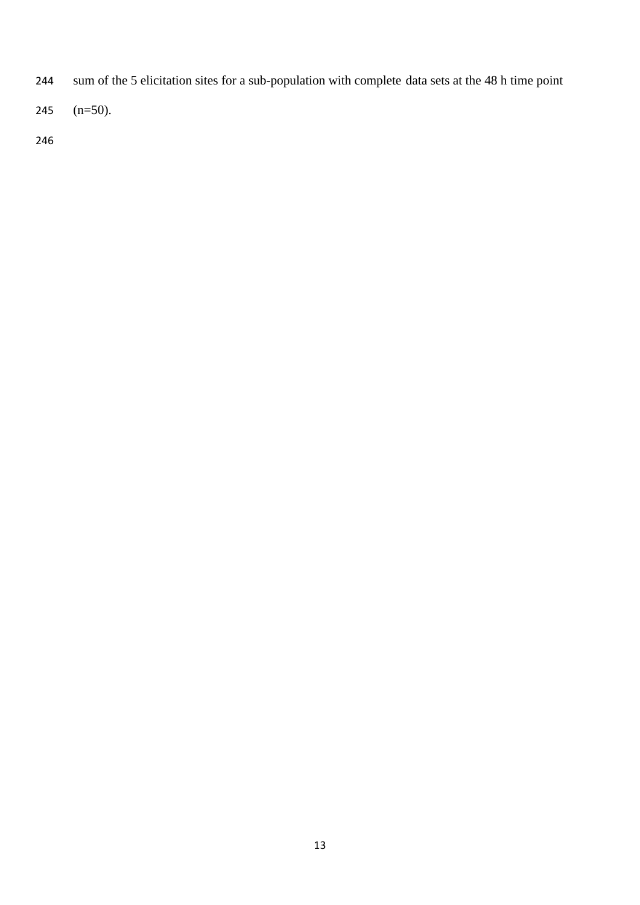- sum of the 5 elicitation sites for a sub-population with complete data sets at the 48 h time point
- (n=50).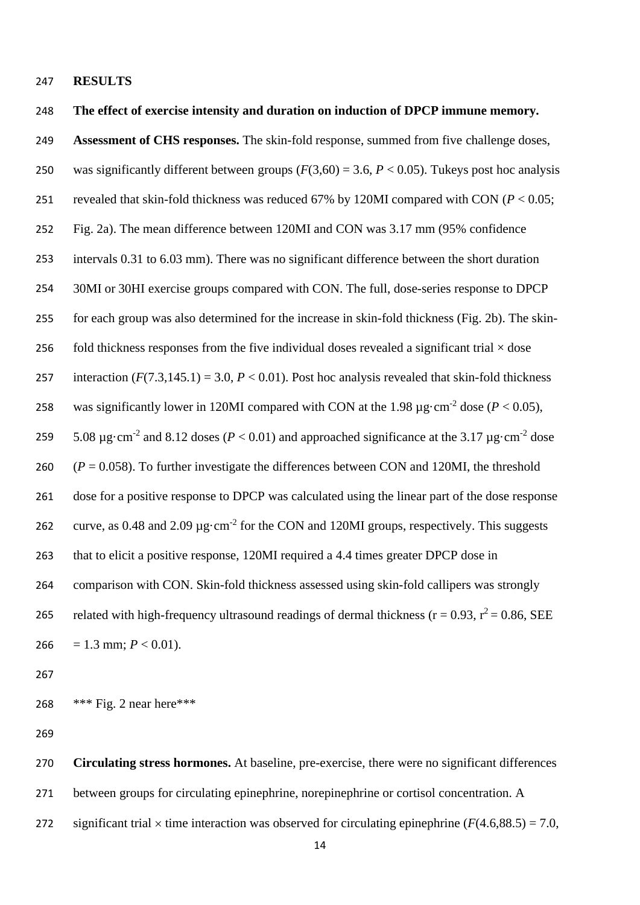#### 247 **RESULTS**

248 249 250 251 252 253 254 255 256 257 258 259 260 261 262 263 264 265 266 **The effect of exercise intensity and duration on induction of DPCP immune memory. Assessment of CHS responses.** The skin-fold response, summed from five challenge doses, was significantly different between groups  $(F(3,60) = 3.6, P < 0.05)$ . Tukeys post hoc analysis revealed that skin-fold thickness was reduced 67% by 120MI compared with CON (*P* < 0.05; Fig. 2a). The mean difference between 120MI and CON was 3.17 mm (95% confidence intervals 0.31 to 6.03 mm). There was no significant difference between the short duration 30MI or 30HI exercise groups compared with CON. The full, dose-series response to DPCP for each group was also determined for the increase in skin-fold thickness (Fig. 2b). The skinfold thickness responses from the five individual doses revealed a significant trial  $\times$  dose interaction  $(F(7.3, 145.1) = 3.0, P < 0.01)$ . Post hoc analysis revealed that skin-fold thickness was significantly lower in 120MI compared with CON at the 1.98  $\mu$ g·cm<sup>-2</sup> dose (*P* < 0.05), 5.08  $\mu$ g·cm<sup>-2</sup> and 8.12 doses (*P* < 0.01) and approached significance at the 3.17  $\mu$ g·cm<sup>-2</sup> dose  $(P = 0.058)$ . To further investigate the differences between CON and 120MI, the threshold dose for a positive response to DPCP was calculated using the linear part of the dose response curve, as 0.48 and 2.09  $\mu$ g·cm<sup>-2</sup> for the CON and 120MI groups, respectively. This suggests that to elicit a positive response, 120MI required a 4.4 times greater DPCP dose in comparison with CON. Skin-fold thickness assessed using skin-fold callipers was strongly related with high-frequency ultrasound readings of dermal thickness ( $r = 0.93$ ,  $r^2 = 0.86$ , SEE  $= 1.3$  mm;  $P < 0.01$ ).

267

268 \*\*\* Fig. 2 near here\*\*\*

269

270 271 **Circulating stress hormones.** At baseline, pre-exercise, there were no significant differences between groups for circulating epinephrine, norepinephrine or cortisol concentration. A 272 significant trial  $\times$  time interaction was observed for circulating epinephrine ( $F(4.6,88.5) = 7.0$ ,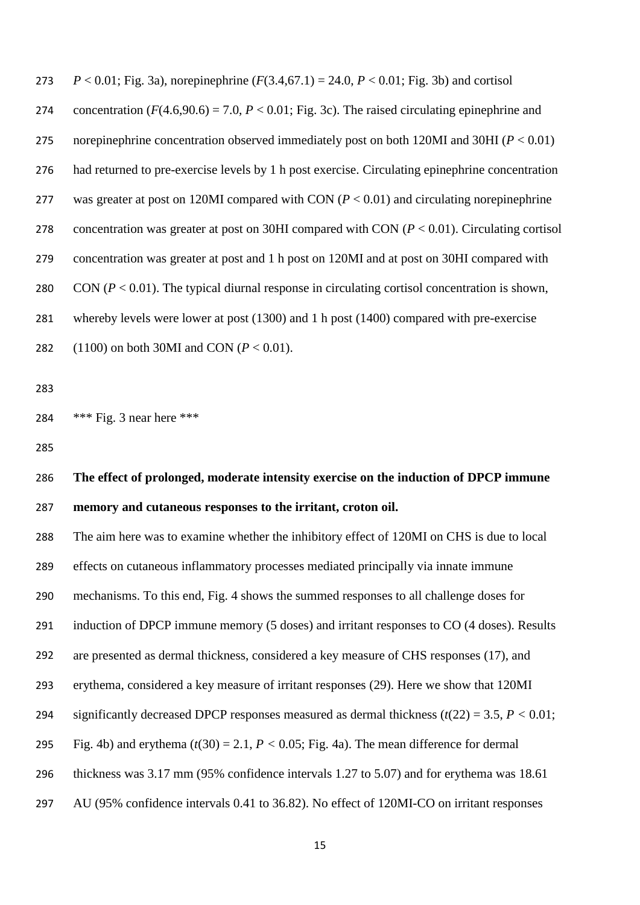| 273 | $P < 0.01$ ; Fig. 3a), norepinephrine $(F(3.4, 67.1) = 24.0, P < 0.01$ ; Fig. 3b) and cortisol   |
|-----|--------------------------------------------------------------------------------------------------|
| 274 | concentration $(F(4.6,90.6) = 7.0, P < 0.01$ ; Fig. 3c). The raised circulating epinephrine and  |
| 275 | noregine phrine concentration observed immediately post on both 120MI and 30HI ( $P < 0.01$ )    |
| 276 | had returned to pre-exercise levels by 1 h post exercise. Circulating epinephrine concentration  |
| 277 | was greater at post on 120MI compared with CON $(P < 0.01)$ and circulating norepinephrine       |
| 278 | concentration was greater at post on 30HI compared with CON ( $P < 0.01$ ). Circulating cortisol |
| 279 | concentration was greater at post and 1 h post on 120MI and at post on 30HI compared with        |
| 280 | CON ( $P < 0.01$ ). The typical diurnal response in circulating cortisol concentration is shown, |
| 281 | whereby levels were lower at post $(1300)$ and 1 h post $(1400)$ compared with pre-exercise      |
| 282 | $(1100)$ on both 30MI and CON ( $P < 0.01$ ).                                                    |

284 \*\*\* Fig. 3 near here \*\*\*

285

### 286 287 **The effect of prolonged, moderate intensity exercise on the induction of DPCP immune memory and cutaneous responses to the irritant, croton oil.**

288 289 290 291 292 293 294 295 296 The aim here was to examine whether the inhibitory effect of 120MI on CHS is due to local effects on cutaneous inflammatory processes mediated principally via innate immune mechanisms. To this end, Fig. 4 shows the summed responses to all challenge doses for induction of DPCP immune memory (5 doses) and irritant responses to CO (4 doses). Results are presented as dermal thickness, considered a key measure of CHS responses (17), and erythema, considered a key measure of irritant responses (29). Here we show that 120MI significantly decreased DPCP responses measured as dermal thickness  $(t(22) = 3.5, P < 0.01;$ Fig. 4b) and erythema  $(t(30) = 2.1, P < 0.05;$  Fig. 4a). The mean difference for dermal thickness was 3.17 mm (95% confidence intervals 1.27 to 5.07) and for erythema was 18.61 297 AU (95% confidence intervals 0.41 to 36.82). No effect of 120MI-CO on irritant responses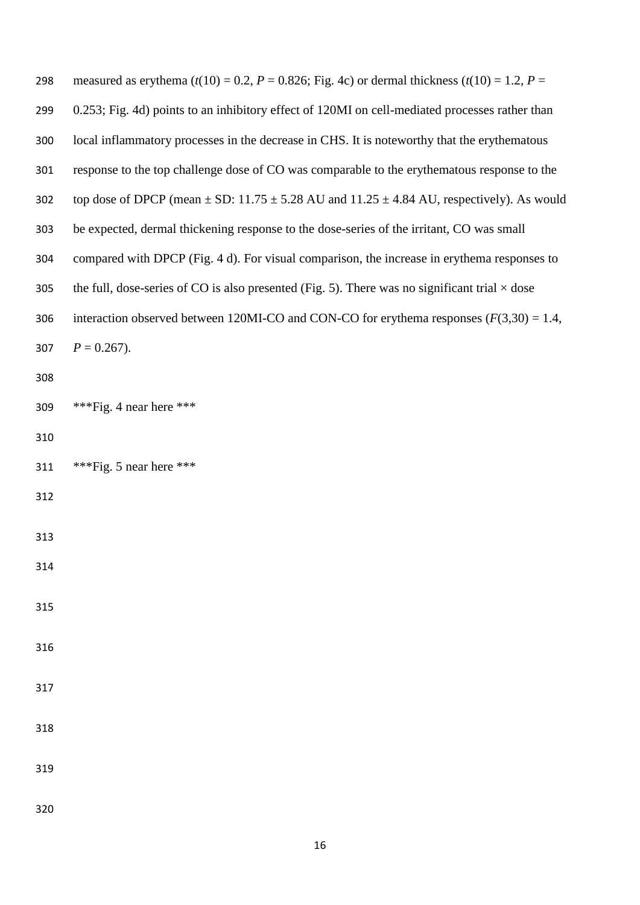| 298 | measured as erythema ( $t(10) = 0.2$ , $P = 0.826$ ; Fig. 4c) or dermal thickness ( $t(10) = 1.2$ , $P =$ |
|-----|-----------------------------------------------------------------------------------------------------------|
| 299 | 0.253; Fig. 4d) points to an inhibitory effect of 120MI on cell-mediated processes rather than            |
| 300 | local inflammatory processes in the decrease in CHS. It is noteworthy that the erythematous               |
| 301 | response to the top challenge dose of CO was comparable to the erythematous response to the               |
| 302 | top dose of DPCP (mean $\pm$ SD: 11.75 $\pm$ 5.28 AU and 11.25 $\pm$ 4.84 AU, respectively). As would     |
| 303 | be expected, dermal thickening response to the dose-series of the irritant, CO was small                  |
| 304 | compared with DPCP (Fig. 4 d). For visual comparison, the increase in erythema responses to               |
| 305 | the full, dose-series of CO is also presented (Fig. 5). There was no significant trial $\times$ dose      |
| 306 | interaction observed between 120MI-CO and CON-CO for erythema responses $(F(3,30) = 1.4,$                 |
| 307 | $P = 0.267$ .                                                                                             |
| 308 |                                                                                                           |
| 309 | *** Fig. 4 near here ***                                                                                  |
| 310 |                                                                                                           |
| 311 | *** Fig. 5 near here ***                                                                                  |
| 312 |                                                                                                           |
| 313 |                                                                                                           |
| 314 |                                                                                                           |
| 315 |                                                                                                           |
|     |                                                                                                           |
| 316 |                                                                                                           |
| 317 |                                                                                                           |
|     |                                                                                                           |
| 318 |                                                                                                           |
| 319 |                                                                                                           |
| 320 |                                                                                                           |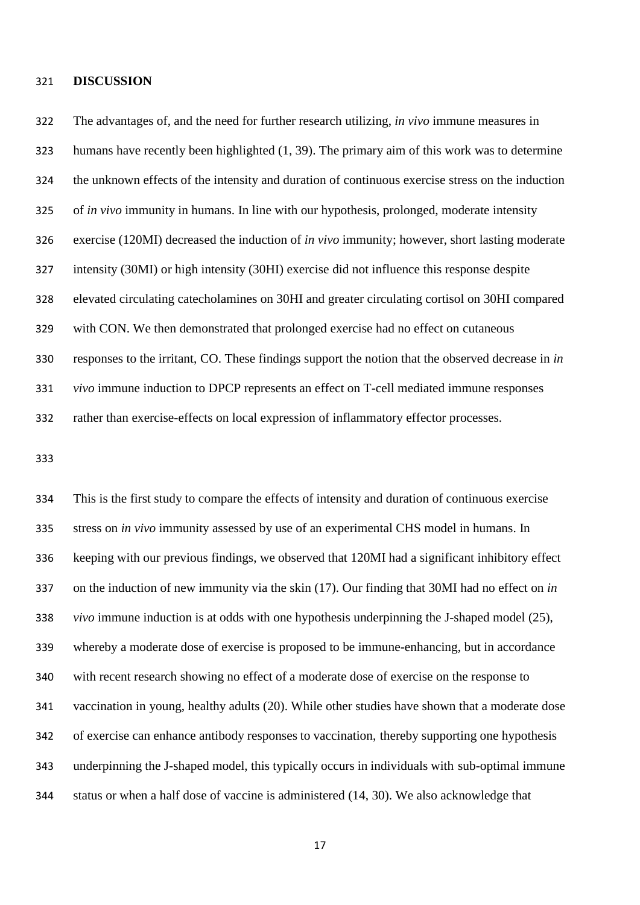#### 321 **DISCUSSION**

322 323 324 325 326 327 328 329 330 331 332 The advantages of, and the need for further research utilizing, *in vivo* immune measures in humans have recently been highlighted (1, 39). The primary aim of this work was to determine the unknown effects of the intensity and duration of continuous exercise stress on the induction of *in vivo* immunity in humans. In line with our hypothesis, prolonged, moderate intensity exercise (120MI) decreased the induction of *in vivo* immunity; however, short lasting moderate intensity (30MI) or high intensity (30HI) exercise did not influence this response despite elevated circulating catecholamines on 30HI and greater circulating cortisol on 30HI compared with CON. We then demonstrated that prolonged exercise had no effect on cutaneous responses to the irritant, CO. These findings support the notion that the observed decrease in *in vivo* immune induction to DPCP represents an effect on T-cell mediated immune responses rather than exercise-effects on local expression of inflammatory effector processes.

333

334 335 336 337 338 339 340 341 342 343 This is the first study to compare the effects of intensity and duration of continuous exercise stress on *in vivo* immunity assessed by use of an experimental CHS model in humans. In keeping with our previous findings, we observed that 120MI had a significant inhibitory effect on the induction of new immunity via the skin (17). Our finding that 30MI had no effect on *in vivo* immune induction is at odds with one hypothesis underpinning the J-shaped model (25), whereby a moderate dose of exercise is proposed to be immune-enhancing, but in accordance with recent research showing no effect of a moderate dose of exercise on the response to vaccination in young, healthy adults (20). While other studies have shown that a moderate dose of exercise can enhance antibody responses to vaccination, thereby supporting one hypothesis underpinning the J-shaped model, this typically occurs in individuals with sub-optimal immune 344 status or when a half dose of vaccine is administered (14, 30). We also acknowledge that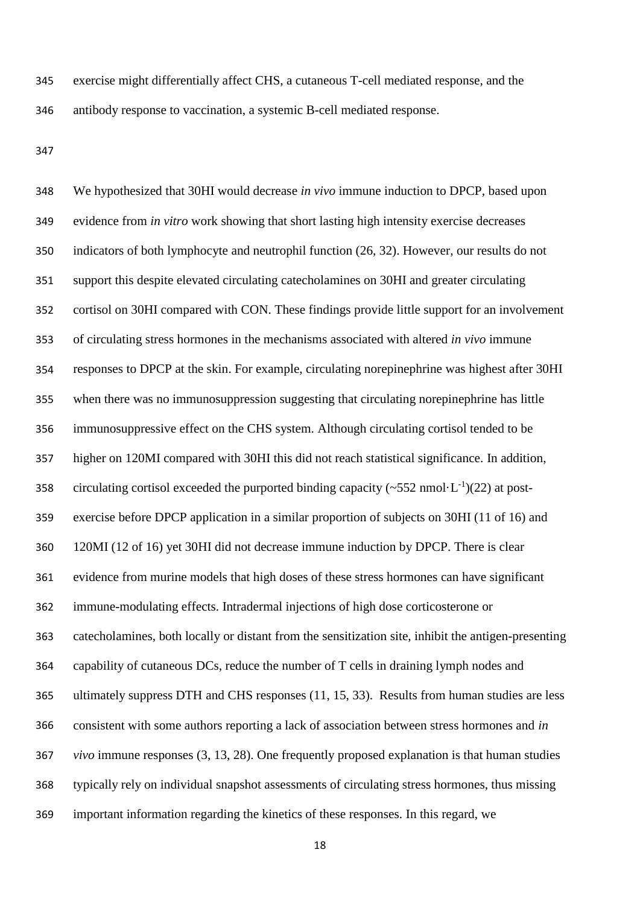345 exercise might differentially affect CHS, a cutaneous T-cell mediated response, and the 346 antibody response to vaccination, a systemic B-cell mediated response.

347

348 349 350 351 352 353 354 355 356 357 358 359 360 361 362 363 364 365 366 367 368 We hypothesized that 30HI would decrease *in vivo* immune induction to DPCP, based upon evidence from *in vitro* work showing that short lasting high intensity exercise decreases indicators of both lymphocyte and neutrophil function (26, 32). However, our results do not support this despite elevated circulating catecholamines on 30HI and greater circulating cortisol on 30HI compared with CON. These findings provide little support for an involvement of circulating stress hormones in the mechanisms associated with altered *in vivo* immune responses to DPCP at the skin. For example, circulating norepinephrine was highest after 30HI when there was no immunosuppression suggesting that circulating norepinephrine has little immunosuppressive effect on the CHS system. Although circulating cortisol tended to be higher on 120MI compared with 30HI this did not reach statistical significance. In addition, circulating cortisol exceeded the purported binding capacity ( $\sim$ 552 nmol·L<sup>-1</sup>)(22) at postexercise before DPCP application in a similar proportion of subjects on 30HI (11 of 16) and 120MI (12 of 16) yet 30HI did not decrease immune induction by DPCP. There is clear evidence from murine models that high doses of these stress hormones can have significant immune-modulating effects. Intradermal injections of high dose corticosterone or catecholamines, both locally or distant from the sensitization site, inhibit the antigen-presenting capability of cutaneous DCs, reduce the number of T cells in draining lymph nodes and ultimately suppress DTH and CHS responses (11, 15, 33). Results from human studies are less consistent with some authors reporting a lack of association between stress hormones and *in vivo* immune responses (3, 13, 28). One frequently proposed explanation is that human studies typically rely on individual snapshot assessments of circulating stress hormones, thus missing 369 important information regarding the kinetics of these responses. In this regard, we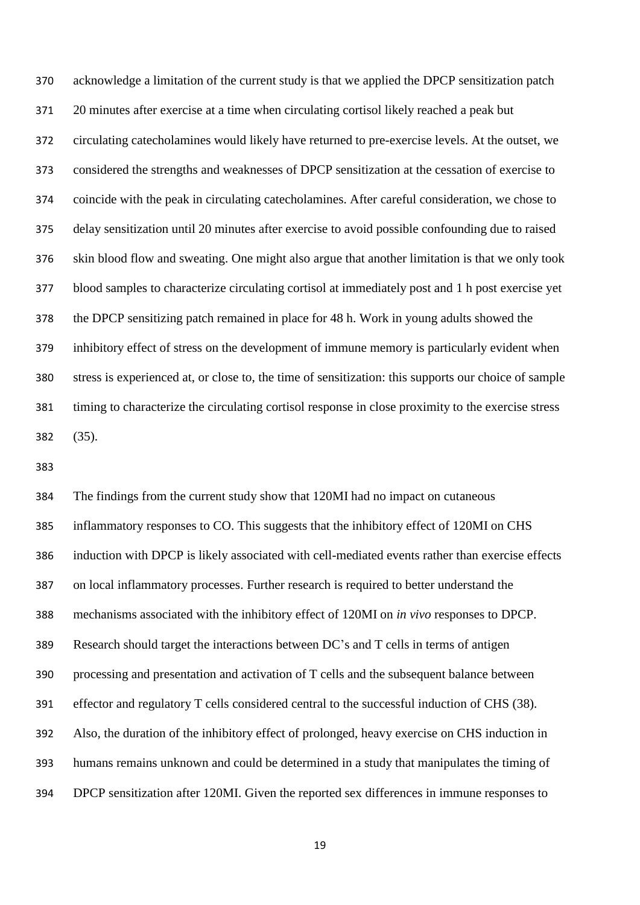370 371 372 373 374 375 376 377 378 379 380 381 382 acknowledge a limitation of the current study is that we applied the DPCP sensitization patch 20 minutes after exercise at a time when circulating cortisol likely reached a peak but circulating catecholamines would likely have returned to pre-exercise levels. At the outset, we considered the strengths and weaknesses of DPCP sensitization at the cessation of exercise to coincide with the peak in circulating catecholamines. After careful consideration, we chose to delay sensitization until 20 minutes after exercise to avoid possible confounding due to raised skin blood flow and sweating. One might also argue that another limitation is that we only took blood samples to characterize circulating cortisol at immediately post and 1 h post exercise yet the DPCP sensitizing patch remained in place for 48 h. Work in young adults showed the inhibitory effect of stress on the development of immune memory is particularly evident when stress is experienced at, or close to, the time of sensitization: this supports our choice of sample timing to characterize the circulating cortisol response in close proximity to the exercise stress (35).

383

384 385 The findings from the current study show that 120MI had no impact on cutaneous inflammatory responses to CO. This suggests that the inhibitory effect of 120MI on CHS 386 induction with DPCP is likely associated with cell-mediated events rather than exercise effects 387 388 389 390 391 392 393 on local inflammatory processes. Further research is required to better understand the mechanisms associated with the inhibitory effect of 120MI on *in vivo* responses to DPCP. Research should target the interactions between DC's and T cells in terms of antigen processing and presentation and activation of T cells and the subsequent balance between effector and regulatory T cells considered central to the successful induction of CHS (38). Also, the duration of the inhibitory effect of prolonged, heavy exercise on CHS induction in humans remains unknown and could be determined in a study that manipulates the timing of 394 DPCP sensitization after 120MI. Given the reported sex differences in immune responses to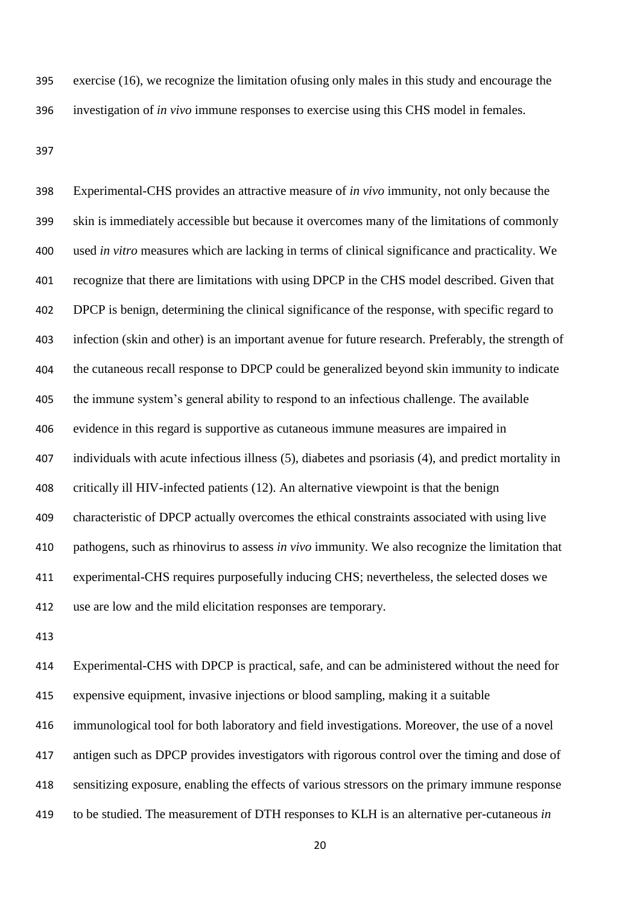395 exercise (16), we recognize the limitation of using only males in this study and encourage the 396 investigation of *in vivo* immune responses to exercise using this CHS model in females.

397

398 399 400 401 402 403 404 405 406 407 408 409 410 411 412 Experimental-CHS provides an attractive measure of *in vivo* immunity, not only because the skin is immediately accessible but because it overcomes many of the limitations of commonly used *in vitro* measures which are lacking in terms of clinical significance and practicality. We recognize that there are limitations with using DPCP in the CHS model described. Given that DPCP is benign, determining the clinical significance of the response, with specific regard to infection (skin and other) is an important avenue for future research. Preferably, the strength of the cutaneous recall response to DPCP could be generalized beyond skin immunity to indicate the immune system's general ability to respond to an infectious challenge. The available evidence in this regard is supportive as cutaneous immune measures are impaired in individuals with acute infectious illness (5), diabetes and psoriasis (4), and predict mortality in critically ill HIV-infected patients (12). An alternative viewpoint is that the benign characteristic of DPCP actually overcomes the ethical constraints associated with using live pathogens, such as rhinovirus to assess *in vivo* immunity. We also recognize the limitation that experimental-CHS requires purposefully inducing CHS; nevertheless, the selected doses we use are low and the mild elicitation responses are temporary.

413

414 415 416 417 418 Experimental-CHS with DPCP is practical, safe, and can be administered without the need for expensive equipment, invasive injections or blood sampling, making it a suitable immunological tool for both laboratory and field investigations. Moreover, the use of a novel antigen such as DPCP provides investigators with rigorous control over the timing and dose of sensitizing exposure, enabling the effects of various stressors on the primary immune response 419 to be studied. The measurement of DTH responses to KLH is an alternative per-cutaneous *in*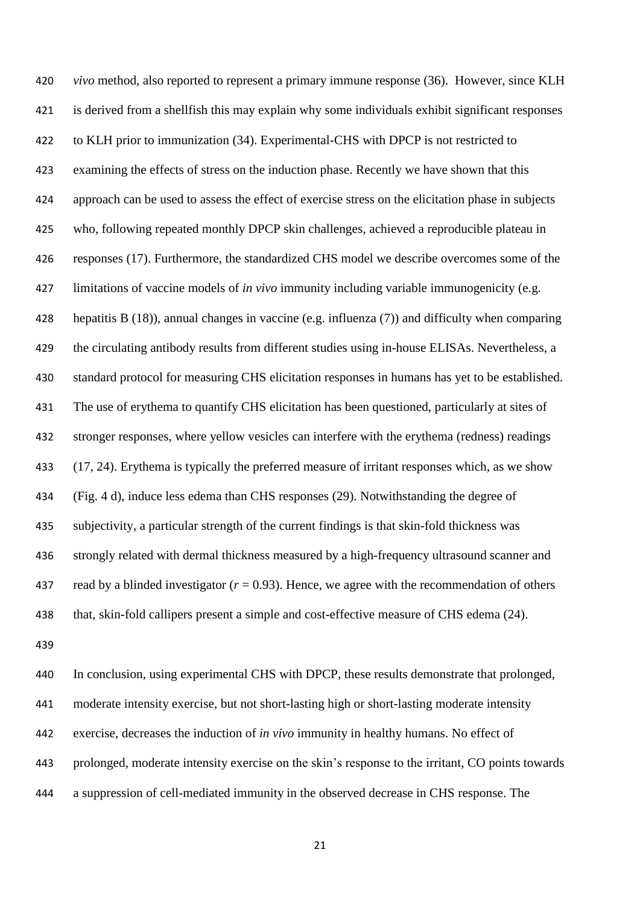420 421 422 423 424 425 426 427 428 429 430 431 432 433 434 435 436 437 438 439 *vivo* method, also reported to represent a primary immune response (36). However, since KLH is derived from a shellfish this may explain why some individuals exhibit significant responses to KLH prior to immunization (34). Experimental-CHS with DPCP is not restricted to examining the effects of stress on the induction phase. Recently we have shown that this approach can be used to assess the effect of exercise stress on the elicitation phase in subjects who, following repeated monthly DPCP skin challenges, achieved a reproducible plateau in responses (17). Furthermore, the standardized CHS model we describe overcomes some of the limitations of vaccine models of *in vivo* immunity including variable immunogenicity (e.g. hepatitis B (18)), annual changes in vaccine (e.g. influenza (7)) and difficulty when comparing the circulating antibody results from different studies using in-house ELISAs. Nevertheless, a standard protocol for measuring CHS elicitation responses in humans has yet to be established. The use of erythema to quantify CHS elicitation has been questioned, particularly at sites of stronger responses, where yellow vesicles can interfere with the erythema (redness) readings (17, 24). Erythema is typically the preferred measure of irritant responses which, as we show (Fig. 4 d), induce less edema than CHS responses (29). Notwithstanding the degree of subjectivity, a particular strength of the current findings is that skin-fold thickness was strongly related with dermal thickness measured by a high-frequency ultrasound scanner and read by a blinded investigator  $(r = 0.93)$ . Hence, we agree with the recommendation of others that, skin-fold callipers present a simple and cost-effective measure of CHS edema (24).

440 In conclusion, using experimental CHS with DPCP, these results demonstrate that prolonged, moderate intensity exercise, but not short-lasting high or short-lasting moderate intensity exercise, decreases the induction of *in vivo* immunity in healthy humans. No effect of prolonged, moderate intensity exercise on the skin's response to the irritant, CO points towards a suppression of cell-mediated immunity in the observed decrease in CHS response. The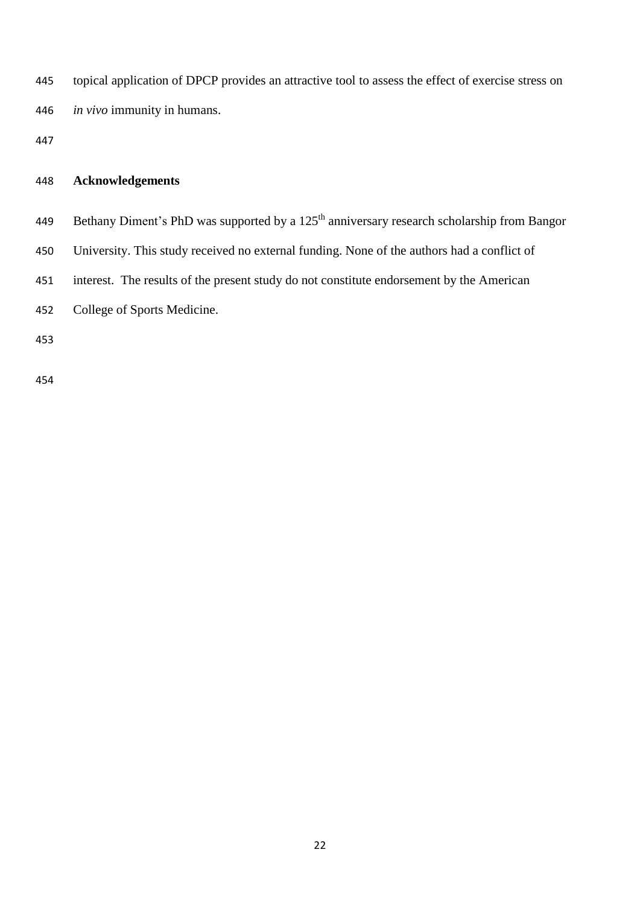topical application of DPCP provides an attractive tool to assess the effect of exercise stress on *in vivo* immunity in humans.

## **Acknowledgements**

- 449 Bethany Diment's PhD was supported by a  $125<sup>th</sup>$  anniversary research scholarship from Bangor
- University. This study received no external funding. None of the authors had a conflict of
- interest. The results of the present study do not constitute endorsement by the American
- College of Sports Medicine.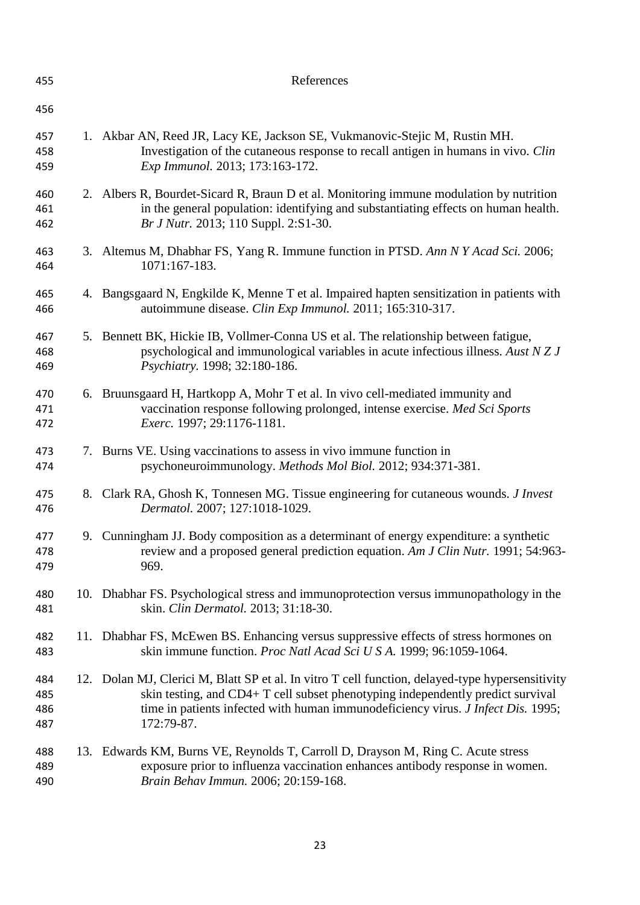| 455                      | References |                                                                                                                                                                                                                                                                                       |  |  |  |
|--------------------------|------------|---------------------------------------------------------------------------------------------------------------------------------------------------------------------------------------------------------------------------------------------------------------------------------------|--|--|--|
| 456                      |            |                                                                                                                                                                                                                                                                                       |  |  |  |
| 457<br>458<br>459        |            | 1. Akbar AN, Reed JR, Lacy KE, Jackson SE, Vukmanovic-Stejic M, Rustin MH.<br>Investigation of the cutaneous response to recall antigen in humans in vivo. Clin<br>Exp Immunol. 2013; 173:163-172.                                                                                    |  |  |  |
| 460<br>461<br>462        |            | 2. Albers R, Bourdet-Sicard R, Braun D et al. Monitoring immune modulation by nutrition<br>in the general population: identifying and substantiating effects on human health.<br>Br J Nutr. 2013; 110 Suppl. 2:S1-30.                                                                 |  |  |  |
| 463<br>464               |            | 3. Altemus M, Dhabhar FS, Yang R. Immune function in PTSD. Ann N Y Acad Sci. 2006;<br>1071:167-183.                                                                                                                                                                                   |  |  |  |
| 465<br>466               |            | 4. Bangsgaard N, Engkilde K, Menne T et al. Impaired hapten sensitization in patients with<br>autoimmune disease. Clin Exp Immunol. 2011; 165:310-317.                                                                                                                                |  |  |  |
| 467<br>468<br>469        |            | 5. Bennett BK, Hickie IB, Vollmer-Conna US et al. The relationship between fatigue,<br>psychological and immunological variables in acute infectious illness. Aust NZJ<br>Psychiatry. 1998; 32:180-186.                                                                               |  |  |  |
| 470<br>471<br>472        |            | 6. Bruunsgaard H, Hartkopp A, Mohr T et al. In vivo cell-mediated immunity and<br>vaccination response following prolonged, intense exercise. Med Sci Sports<br>Exerc. 1997; 29:1176-1181.                                                                                            |  |  |  |
| 473<br>474               |            | 7. Burns VE. Using vaccinations to assess in vivo immune function in<br>psychoneuroimmunology. Methods Mol Biol. 2012; 934:371-381.                                                                                                                                                   |  |  |  |
| 475<br>476               |            | 8. Clark RA, Ghosh K, Tonnesen MG. Tissue engineering for cutaneous wounds. <i>J Invest</i><br>Dermatol. 2007; 127:1018-1029.                                                                                                                                                         |  |  |  |
| 477<br>478<br>479        |            | 9. Cunningham JJ. Body composition as a determinant of energy expenditure: a synthetic<br>review and a proposed general prediction equation. Am J Clin Nutr. 1991; 54:963-<br>969.                                                                                                    |  |  |  |
| 480<br>481               |            | 10. Dhabhar FS. Psychological stress and immunoprotection versus immunopathology in the<br>skin. Clin Dermatol. 2013; 31:18-30.                                                                                                                                                       |  |  |  |
| 482<br>483               |            | 11. Dhabhar FS, McEwen BS. Enhancing versus suppressive effects of stress hormones on<br>skin immune function. Proc Natl Acad Sci U S A. 1999; 96:1059-1064.                                                                                                                          |  |  |  |
| 484<br>485<br>486<br>487 |            | 12. Dolan MJ, Clerici M, Blatt SP et al. In vitro T cell function, delayed-type hypersensitivity<br>skin testing, and CD4+ T cell subset phenotyping independently predict survival<br>time in patients infected with human immunodeficiency virus. J Infect Dis. 1995;<br>172:79-87. |  |  |  |
| 488<br>489<br>490        |            | 13. Edwards KM, Burns VE, Reynolds T, Carroll D, Drayson M, Ring C. Acute stress<br>exposure prior to influenza vaccination enhances antibody response in women.<br>Brain Behav Immun. 2006; 20:159-168.                                                                              |  |  |  |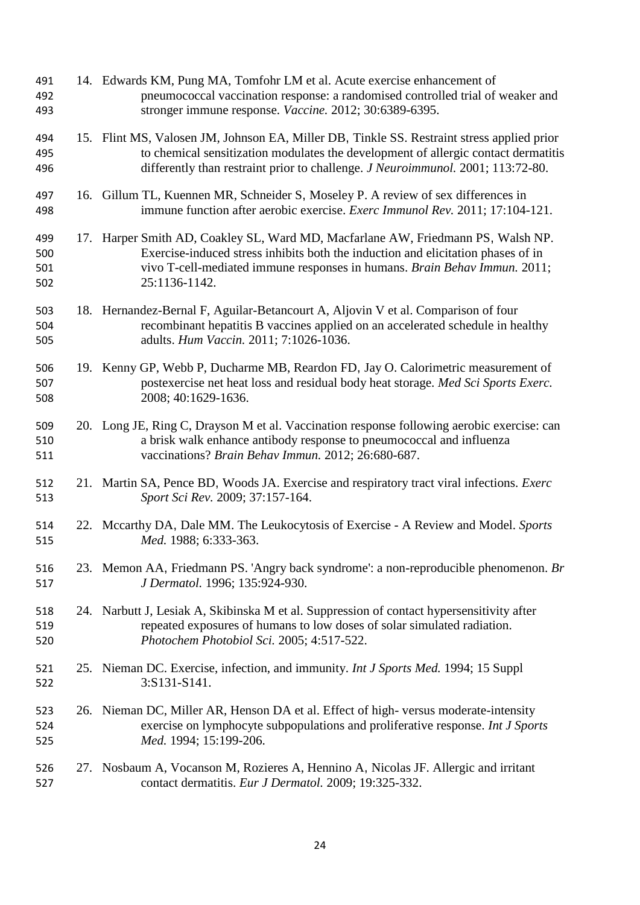| 491<br>492<br>493        | 14. Edwards KM, Pung MA, Tomfohr LM et al. Acute exercise enhancement of<br>pneumococcal vaccination response: a randomised controlled trial of weaker and<br>stronger immune response. Vaccine. 2012; 30:6389-6395.                                                        |  |
|--------------------------|-----------------------------------------------------------------------------------------------------------------------------------------------------------------------------------------------------------------------------------------------------------------------------|--|
| 494<br>495<br>496        | 15. Flint MS, Valosen JM, Johnson EA, Miller DB, Tinkle SS. Restraint stress applied prior<br>to chemical sensitization modulates the development of allergic contact dermatitis<br>differently than restraint prior to challenge. <i>J Neuroimmunol</i> . 2001; 113:72-80. |  |
| 497<br>498               | 16. Gillum TL, Kuennen MR, Schneider S, Moseley P. A review of sex differences in<br>immune function after aerobic exercise. Exerc Immunol Rev. 2011; 17:104-121.                                                                                                           |  |
| 499<br>500<br>501<br>502 | 17. Harper Smith AD, Coakley SL, Ward MD, Macfarlane AW, Friedmann PS, Walsh NP.<br>Exercise-induced stress inhibits both the induction and elicitation phases of in<br>vivo T-cell-mediated immune responses in humans. Brain Behav Immun. 2011;<br>25:1136-1142.          |  |
| 503<br>504<br>505        | 18. Hernandez-Bernal F, Aguilar-Betancourt A, Aljovin V et al. Comparison of four<br>recombinant hepatitis B vaccines applied on an accelerated schedule in healthy<br>adults. Hum Vaccin. 2011; 7:1026-1036.                                                               |  |
| 506<br>507<br>508        | 19. Kenny GP, Webb P, Ducharme MB, Reardon FD, Jay O. Calorimetric measurement of<br>postexercise net heat loss and residual body heat storage. Med Sci Sports Exerc.<br>2008; 40:1629-1636.                                                                                |  |
| 509<br>510<br>511        | 20. Long JE, Ring C, Drayson M et al. Vaccination response following aerobic exercise: can<br>a brisk walk enhance antibody response to pneumococcal and influenza<br>vaccinations? Brain Behav Immun. 2012; 26:680-687.                                                    |  |
| 512<br>513               | 21. Martin SA, Pence BD, Woods JA. Exercise and respiratory tract viral infections. Exerc<br>Sport Sci Rev. 2009; 37:157-164.                                                                                                                                               |  |
| 514<br>515               | 22. Mccarthy DA, Dale MM. The Leukocytosis of Exercise - A Review and Model. Sports<br>Med. 1988; 6:333-363.                                                                                                                                                                |  |
| 516<br>517               | 23. Memon AA, Friedmann PS. 'Angry back syndrome': a non-reproducible phenomenon. Br<br>J Dermatol. 1996; 135:924-930.                                                                                                                                                      |  |
| 518<br>519<br>520        | 24. Narbutt J, Lesiak A, Skibinska M et al. Suppression of contact hypersensitivity after<br>repeated exposures of humans to low doses of solar simulated radiation.<br>Photochem Photobiol Sci. 2005; 4:517-522.                                                           |  |
| 521<br>522               | 25. Nieman DC. Exercise, infection, and immunity. <i>Int J Sports Med.</i> 1994; 15 Suppl<br>3:S131-S141.                                                                                                                                                                   |  |
| 523<br>524<br>525        | 26. Nieman DC, Miller AR, Henson DA et al. Effect of high-versus moderate-intensity<br>exercise on lymphocyte subpopulations and proliferative response. Int J Sports<br>Med. 1994; 15:199-206.                                                                             |  |
| 526<br>527               | 27. Nosbaum A, Vocanson M, Rozieres A, Hennino A, Nicolas JF. Allergic and irritant<br>contact dermatitis. Eur J Dermatol. 2009; 19:325-332.                                                                                                                                |  |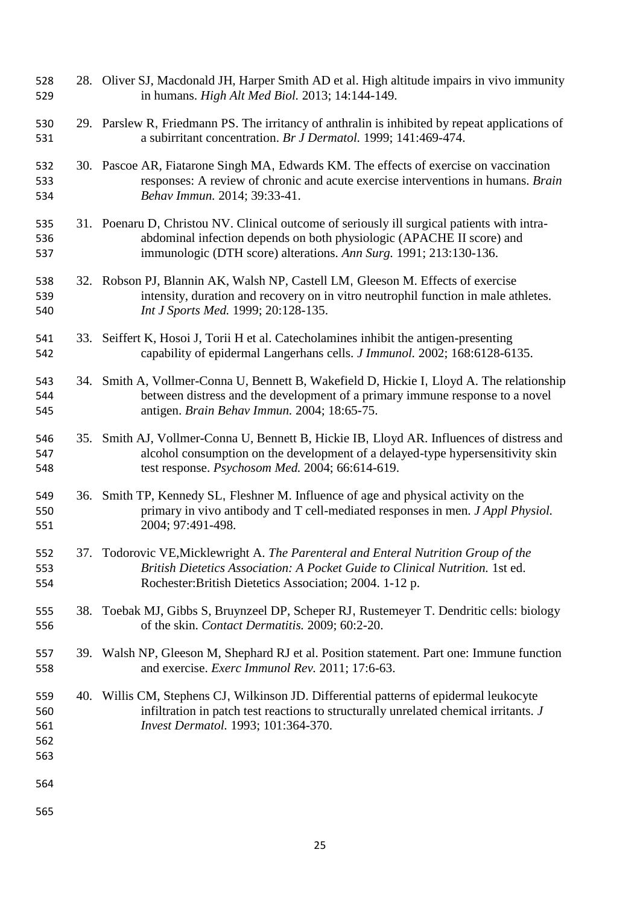| 528<br>529                      |     | 28. Oliver SJ, Macdonald JH, Harper Smith AD et al. High altitude impairs in vivo immunity<br>in humans. <i>High Alt Med Biol.</i> 2013; 14:144-149.                                                                                      |  |  |  |
|---------------------------------|-----|-------------------------------------------------------------------------------------------------------------------------------------------------------------------------------------------------------------------------------------------|--|--|--|
| 530<br>531                      |     | 29. Parslew R, Friedmann PS. The irritancy of anthralin is inhibited by repeat applications of<br>a subirritant concentration. Br J Dermatol. 1999; 141:469-474.                                                                          |  |  |  |
| 532<br>533<br>534               |     | 30. Pascoe AR, Fiatarone Singh MA, Edwards KM. The effects of exercise on vaccination<br>responses: A review of chronic and acute exercise interventions in humans. Brain<br>Behav Immun. 2014; 39:33-41.                                 |  |  |  |
| 535<br>536<br>537               |     | 31. Poenaru D, Christou NV. Clinical outcome of seriously ill surgical patients with intra-<br>abdominal infection depends on both physiologic (APACHE II score) and<br>immunologic (DTH score) alterations. Ann Surg. 1991; 213:130-136. |  |  |  |
| 538<br>539<br>540               |     | 32. Robson PJ, Blannin AK, Walsh NP, Castell LM, Gleeson M. Effects of exercise<br>intensity, duration and recovery on in vitro neutrophil function in male athletes.<br>Int J Sports Med. 1999; 20:128-135.                              |  |  |  |
| 541<br>542                      |     | 33. Seiffert K, Hosoi J, Torii H et al. Catecholamines inhibit the antigen-presenting<br>capability of epidermal Langerhans cells. <i>J Immunol</i> . 2002; 168:6128-6135.                                                                |  |  |  |
| 543<br>544<br>545               |     | 34. Smith A, Vollmer-Conna U, Bennett B, Wakefield D, Hickie I, Lloyd A. The relationship<br>between distress and the development of a primary immune response to a novel<br>antigen. Brain Behav Immun. 2004; 18:65-75.                  |  |  |  |
| 546<br>547<br>548               |     | 35. Smith AJ, Vollmer-Conna U, Bennett B, Hickie IB, Lloyd AR. Influences of distress and<br>alcohol consumption on the development of a delayed-type hypersensitivity skin<br>test response. Psychosom Med. 2004; 66:614-619.            |  |  |  |
| 549<br>550<br>551               |     | 36. Smith TP, Kennedy SL, Fleshner M. Influence of age and physical activity on the<br>primary in vivo antibody and T cell-mediated responses in men. J Appl Physiol.<br>2004; 97:491-498.                                                |  |  |  |
| 552<br>553<br>554               | 37. | Todorovic VE, Micklewright A. The Parenteral and Enteral Nutrition Group of the<br>British Dietetics Association: A Pocket Guide to Clinical Nutrition. 1st ed.<br>Rochester: British Dietetics Association; 2004. 1-12 p.                |  |  |  |
| 555<br>556                      |     | 38. Toebak MJ, Gibbs S, Bruynzeel DP, Scheper RJ, Rustemeyer T. Dendritic cells: biology<br>of the skin. Contact Dermatitis. 2009; 60:2-20.                                                                                               |  |  |  |
| 557<br>558                      |     | 39. Walsh NP, Gleeson M, Shephard RJ et al. Position statement. Part one: Immune function<br>and exercise. <i>Exerc Immunol Rev.</i> 2011; 17:6-63.                                                                                       |  |  |  |
| 559<br>560<br>561<br>562<br>563 |     | 40. Willis CM, Stephens CJ, Wilkinson JD. Differential patterns of epidermal leukocyte<br>infiltration in patch test reactions to structurally unrelated chemical irritants. J<br>Invest Dermatol. 1993; 101:364-370.                     |  |  |  |
| 564                             |     |                                                                                                                                                                                                                                           |  |  |  |
| 565                             |     |                                                                                                                                                                                                                                           |  |  |  |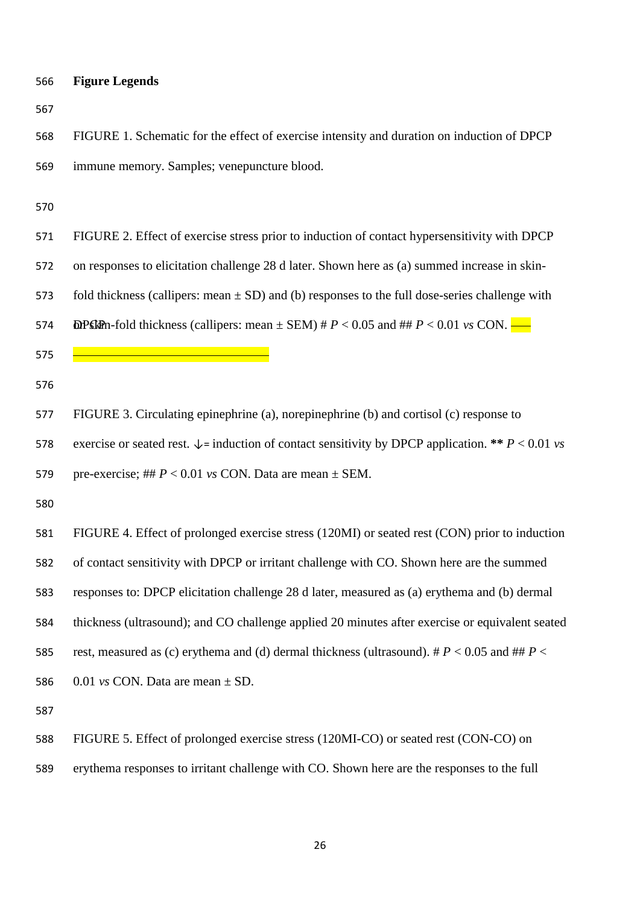| 566 |  | <b>Figure Legends</b> |
|-----|--|-----------------------|
|-----|--|-----------------------|

568 569 570 FIGURE 1. Schematic for the effect of exercise intensity and duration on induction of DPCP immune memory. Samples; venepuncture blood.

| 571 | FIGURE 2. Effect of exercise stress prior to induction of contact hypersensitivity with DPCP                          |  |  |  |  |  |
|-----|-----------------------------------------------------------------------------------------------------------------------|--|--|--|--|--|
| 572 | on responses to elicitation challenge 28 d later. Shown here as (a) summed increase in skin-                          |  |  |  |  |  |
| 573 | fold thickness (callipers: mean $\pm$ SD) and (b) responses to the full dose-series challenge with                    |  |  |  |  |  |
| 574 | <b>DPCRP</b> n-fold thickness (callipers: mean $\pm$ SEM) # $P < 0.05$ and ## $P < 0.01$ vs CON. $\frac{1}{\pm 0.01}$ |  |  |  |  |  |
| 575 |                                                                                                                       |  |  |  |  |  |
| 576 |                                                                                                                       |  |  |  |  |  |
| 577 | FIGURE 3. Circulating epinephrine (a), norepinephrine (b) and cortisol (c) response to                                |  |  |  |  |  |
| 578 | exercise or seated rest. $\downarrow$ = induction of contact sensitivity by DPCP application. ** $P < 0.01$ vs        |  |  |  |  |  |
| 579 | pre-exercise; ## $P < 0.01$ vs CON. Data are mean $\pm$ SEM.                                                          |  |  |  |  |  |
| 580 |                                                                                                                       |  |  |  |  |  |
| 581 | FIGURE 4. Effect of prolonged exercise stress (120MI) or seated rest (CON) prior to induction                         |  |  |  |  |  |
| 582 | of contact sensitivity with DPCP or irritant challenge with CO. Shown here are the summed                             |  |  |  |  |  |
| 583 | responses to: DPCP elicitation challenge 28 d later, measured as (a) erythema and (b) dermal                          |  |  |  |  |  |
| 584 | thickness (ultrasound); and CO challenge applied 20 minutes after exercise or equivalent seated                       |  |  |  |  |  |
| 585 | rest, measured as (c) erythema and (d) dermal thickness (ultrasound). # $P < 0.05$ and ## $P <$                       |  |  |  |  |  |
| 586 | 0.01 <i>vs</i> CON. Data are mean $\pm$ SD.                                                                           |  |  |  |  |  |
| 587 |                                                                                                                       |  |  |  |  |  |
| 588 | FIGURE 5. Effect of prolonged exercise stress (120MI-CO) or seated rest (CON-CO) on                                   |  |  |  |  |  |

589 erythema responses to irritant challenge with CO. Shown here are the responses to the full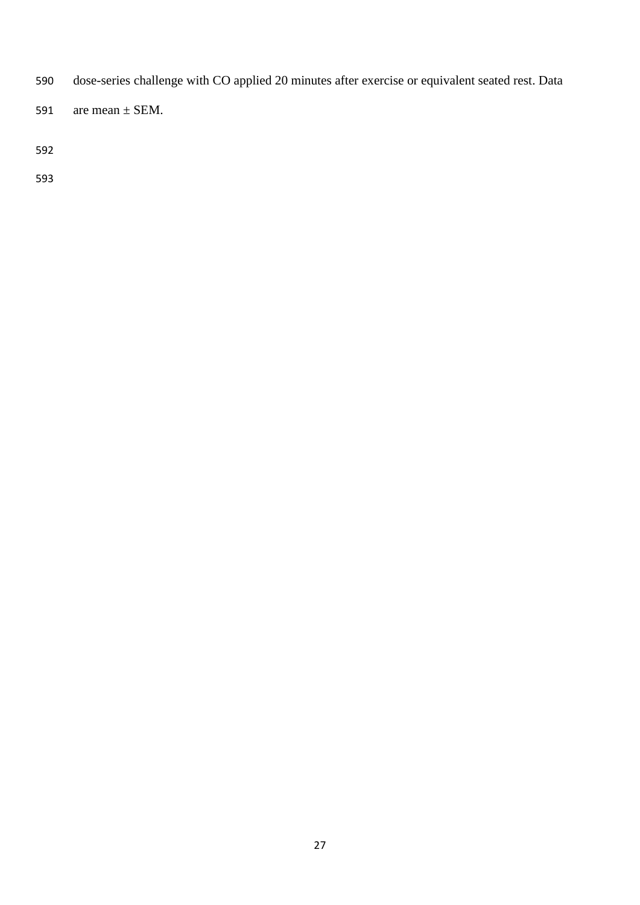- dose-series challenge with CO applied 20 minutes after exercise or equivalent seated rest. Data
- 591 are mean  $\pm$  SEM.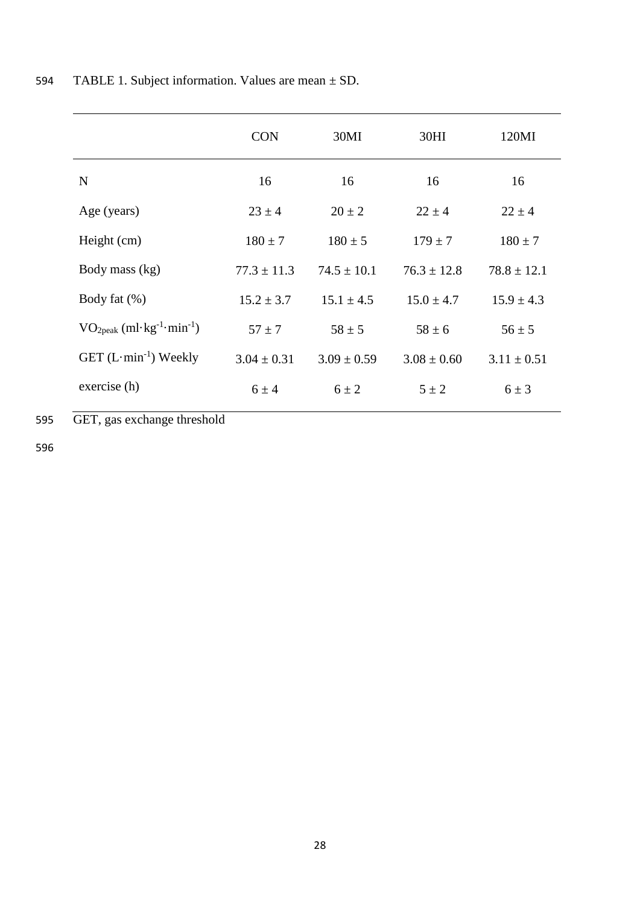|                                 | <b>CON</b>      | 30MI            | 30 <sub>H</sub> | 120MI           |
|---------------------------------|-----------------|-----------------|-----------------|-----------------|
| $\mathbf N$                     | 16              | 16              | 16              | 16              |
| Age (years)                     | $23 \pm 4$      | $20 \pm 2$      | $22 \pm 4$      | $22 \pm 4$      |
| Height (cm)                     | $180 \pm 7$     | $180 \pm 5$     | $179 \pm 7$     | $180 \pm 7$     |
| Body mass (kg)                  | $77.3 \pm 11.3$ | $74.5 \pm 10.1$ | $76.3 \pm 12.8$ | $78.8 \pm 12.1$ |
| Body fat $(\%)$                 | $15.2 \pm 3.7$  | $15.1 \pm 4.5$  | $15.0 \pm 4.7$  | $15.9 \pm 4.3$  |
| $VO2peak (ml·kg-1·min-1)$       | $57 \pm 7$      | $58 \pm 5$      | $58 \pm 6$      | $56 \pm 5$      |
| GET $(L \cdot min^{-1})$ Weekly | $3.04 \pm 0.31$ | $3.09 \pm 0.59$ | $3.08 \pm 0.60$ | $3.11 \pm 0.51$ |
| exercise (h)                    | $6 \pm 4$       | $6 \pm 2$       | $5 \pm 2$       | $6 \pm 3$       |

595 GET, gas exchange threshold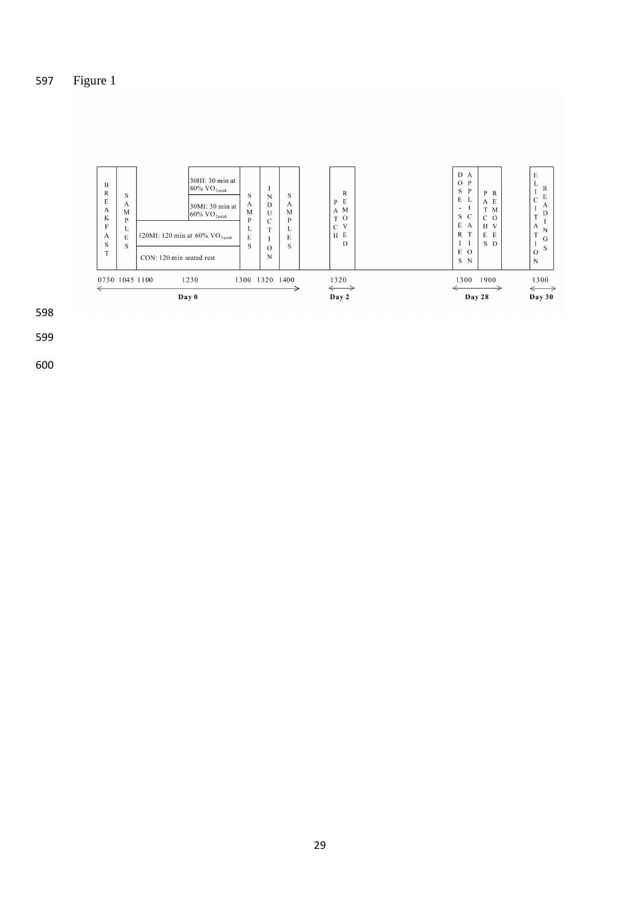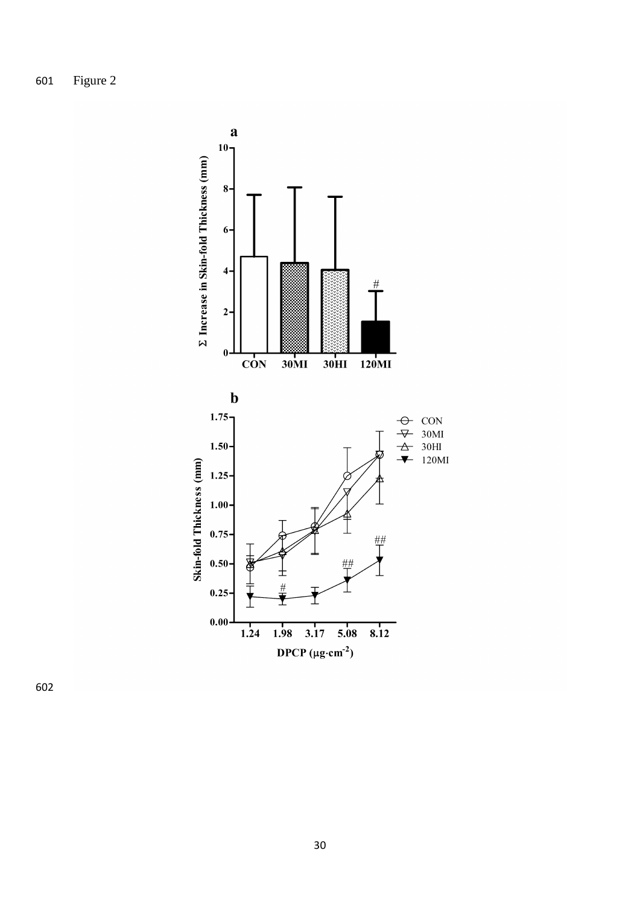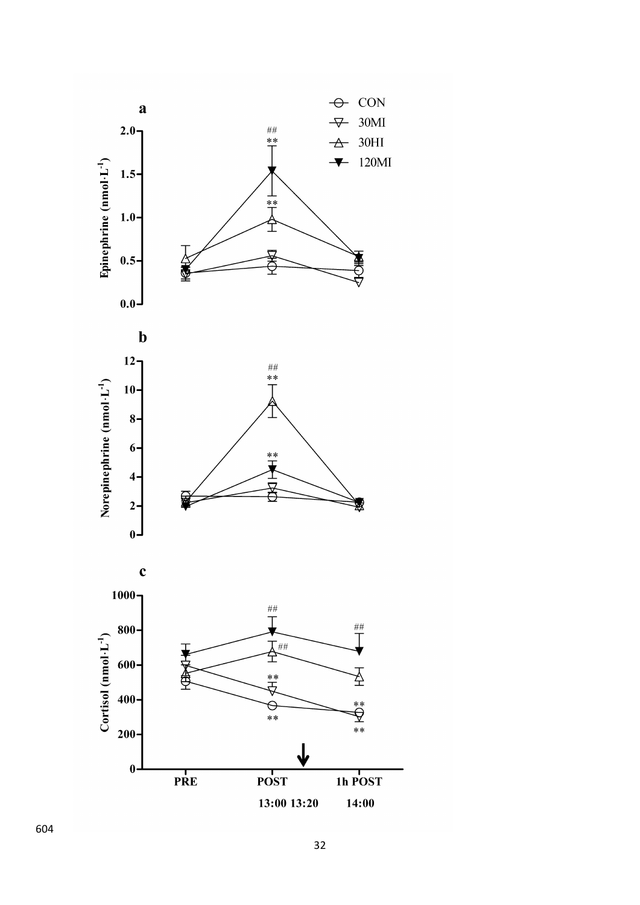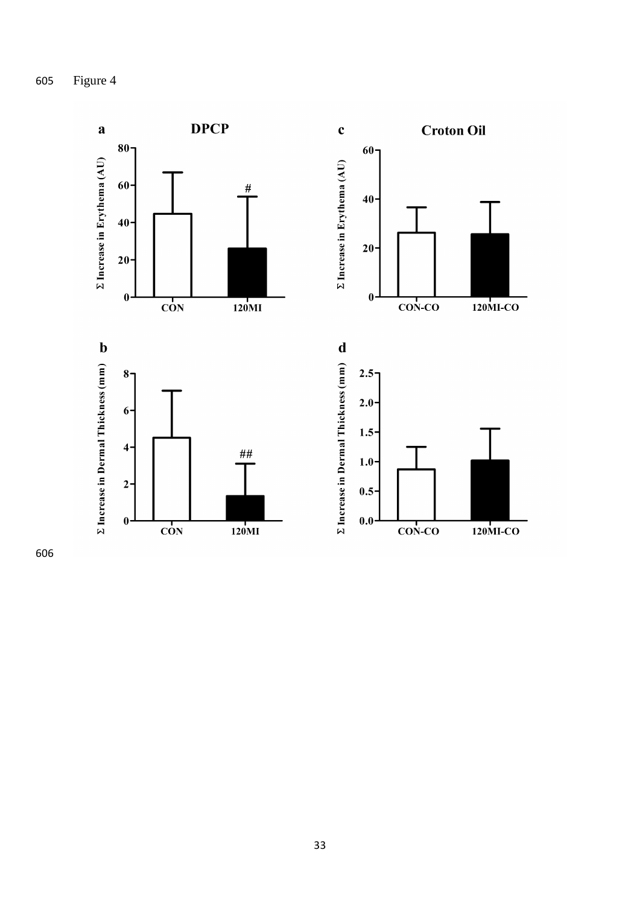